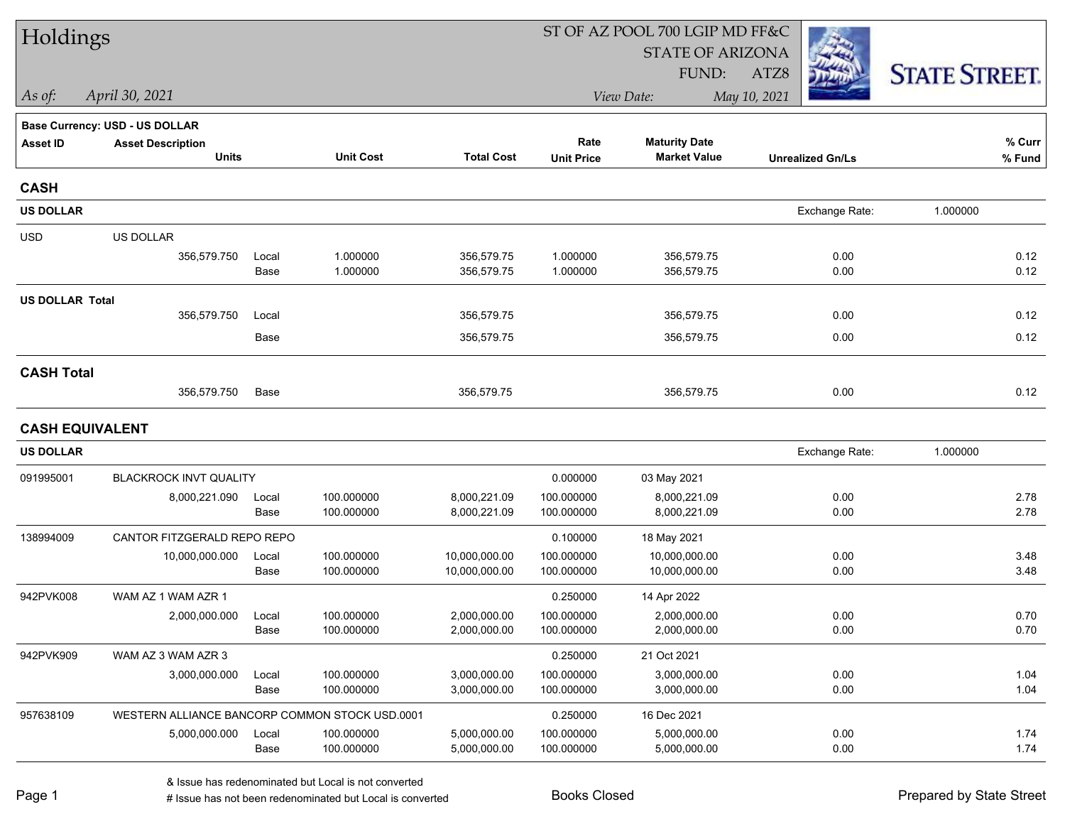| Holdings               |                                                |       |                  |                   |                   | ST OF AZ POOL 700 LGIP MD FF&C |                         |                      |  |
|------------------------|------------------------------------------------|-------|------------------|-------------------|-------------------|--------------------------------|-------------------------|----------------------|--|
|                        |                                                |       |                  |                   |                   | <b>STATE OF ARIZONA</b>        |                         |                      |  |
|                        |                                                |       |                  |                   |                   | FUND:                          | ATZ8                    | <b>STATE STREET.</b> |  |
| As of:                 | April 30, 2021                                 |       |                  |                   |                   | View Date:                     | May 10, 2021            |                      |  |
|                        | <b>Base Currency: USD - US DOLLAR</b>          |       |                  |                   |                   |                                |                         |                      |  |
| <b>Asset ID</b>        | <b>Asset Description</b>                       |       |                  |                   | Rate              | <b>Maturity Date</b>           |                         | % Curr               |  |
|                        | <b>Units</b>                                   |       | <b>Unit Cost</b> | <b>Total Cost</b> | <b>Unit Price</b> | <b>Market Value</b>            | <b>Unrealized Gn/Ls</b> | % Fund               |  |
| <b>CASH</b>            |                                                |       |                  |                   |                   |                                |                         |                      |  |
| <b>US DOLLAR</b>       |                                                |       |                  |                   |                   |                                | Exchange Rate:          | 1.000000             |  |
| <b>USD</b>             | US DOLLAR                                      |       |                  |                   |                   |                                |                         |                      |  |
|                        | 356,579.750                                    | Local | 1.000000         | 356,579.75        | 1.000000          | 356,579.75                     | 0.00                    | 0.12                 |  |
|                        |                                                | Base  | 1.000000         | 356,579.75        | 1.000000          | 356,579.75                     | 0.00                    | 0.12                 |  |
| <b>US DOLLAR Total</b> |                                                |       |                  |                   |                   |                                |                         |                      |  |
|                        | 356,579.750                                    | Local |                  | 356,579.75        |                   | 356,579.75                     | 0.00                    | 0.12                 |  |
|                        |                                                | Base  |                  | 356,579.75        |                   | 356,579.75                     | 0.00                    | 0.12                 |  |
| <b>CASH Total</b>      |                                                |       |                  |                   |                   |                                |                         |                      |  |
|                        | 356,579.750                                    | Base  |                  | 356,579.75        |                   | 356,579.75                     | 0.00                    | 0.12                 |  |
| <b>CASH EQUIVALENT</b> |                                                |       |                  |                   |                   |                                |                         |                      |  |
| <b>US DOLLAR</b>       |                                                |       |                  |                   |                   |                                | Exchange Rate:          | 1.000000             |  |
| 091995001              | <b>BLACKROCK INVT QUALITY</b>                  |       |                  |                   | 0.000000          | 03 May 2021                    |                         |                      |  |
|                        | 8,000,221.090                                  | Local | 100.000000       | 8,000,221.09      | 100.000000        | 8,000,221.09                   | 0.00                    | 2.78                 |  |
|                        |                                                | Base  | 100.000000       | 8,000,221.09      | 100.000000        | 8,000,221.09                   | 0.00                    | 2.78                 |  |
| 138994009              | CANTOR FITZGERALD REPO REPO                    |       |                  |                   | 0.100000          | 18 May 2021                    |                         |                      |  |
|                        | 10,000,000.000                                 | Local | 100.000000       | 10,000,000.00     | 100.000000        | 10,000,000.00                  | 0.00                    | 3.48                 |  |
|                        |                                                | Base  | 100.000000       | 10,000,000.00     | 100.000000        | 10,000,000.00                  | 0.00                    | 3.48                 |  |
| 942PVK008              | WAM AZ 1 WAM AZR 1                             |       |                  |                   | 0.250000          | 14 Apr 2022                    |                         |                      |  |
|                        | 2,000,000.000                                  | Local | 100.000000       | 2,000,000.00      | 100.000000        | 2,000,000.00                   | 0.00                    | 0.70                 |  |
|                        |                                                | Base  | 100.000000       | 2,000,000.00      | 100.000000        | 2,000,000.00                   | 0.00                    | 0.70                 |  |
| 942PVK909              | WAM AZ 3 WAM AZR 3                             |       |                  |                   | 0.250000          | 21 Oct 2021                    |                         |                      |  |
|                        | 3,000,000.000                                  | Local | 100.000000       | 3,000,000.00      | 100.000000        | 3,000,000.00                   | 0.00                    | 1.04                 |  |
|                        |                                                | Base  | 100.000000       | 3,000,000.00      | 100.000000        | 3,000,000.00                   | 0.00                    | 1.04                 |  |
| 957638109              | WESTERN ALLIANCE BANCORP COMMON STOCK USD.0001 |       |                  |                   | 0.250000          | 16 Dec 2021                    |                         |                      |  |
|                        | 5,000,000.000                                  | Local | 100.000000       | 5,000,000.00      | 100.000000        | 5,000,000.00                   | 0.00                    | 1.74                 |  |
|                        |                                                | Base  | 100.000000       | 5,000,000.00      | 100.000000        | 5,000,000.00                   | 0.00                    | 1.74                 |  |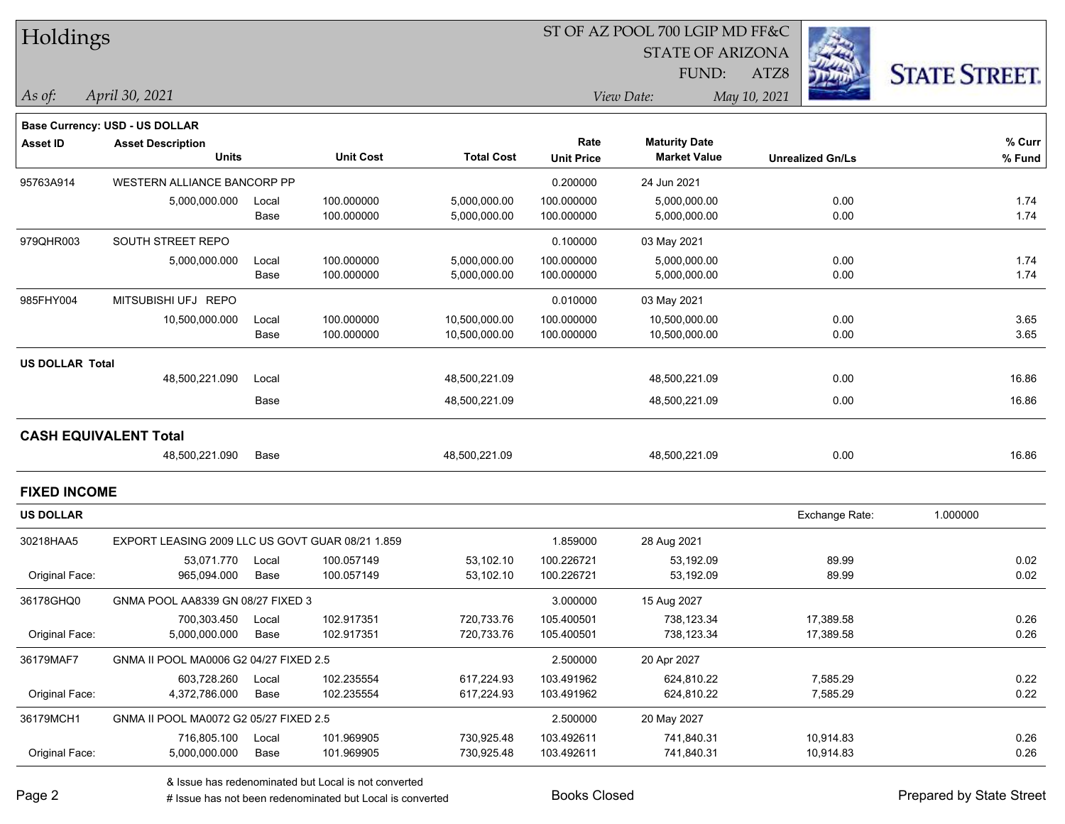| Holdings |
|----------|
|----------|

#### ST OF AZ POOL 700 LGIP MD FF&C

STATE OF ARIZONA

FUND:

**Maturity Date**



**% Curr**

*April 30, 2021 As of: View Date: May 10, 2021*

**Base Currency: USD - US DOLLAR**

ATZ8

**Asset ID Asset Description Rate**

|                     | <b>Units</b>                                     |       | <b>Unit Cost</b> | <b>Total Cost</b> | <b>Unit Price</b> | <b>Market Value</b> | <b>Unrealized Gn/Ls</b> | % Fund   |
|---------------------|--------------------------------------------------|-------|------------------|-------------------|-------------------|---------------------|-------------------------|----------|
| 95763A914           | WESTERN ALLIANCE BANCORP PP                      |       |                  | 0.200000          | 24 Jun 2021       |                     |                         |          |
|                     | 5,000,000.000                                    | Local | 100.000000       | 5,000,000.00      | 100.000000        | 5,000,000.00        | 0.00                    | 1.74     |
|                     |                                                  | Base  | 100.000000       | 5,000,000.00      | 100.000000        | 5,000,000.00        | 0.00                    | 1.74     |
| 979QHR003           | SOUTH STREET REPO                                |       |                  |                   | 0.100000          | 03 May 2021         |                         |          |
|                     | 5,000,000.000                                    | Local | 100.000000       | 5,000,000.00      | 100.000000        | 5,000,000.00        | 0.00                    | 1.74     |
|                     |                                                  | Base  | 100.000000       | 5,000,000.00      | 100.000000        | 5,000,000.00        | 0.00                    | 1.74     |
| 985FHY004           | MITSUBISHI UFJ REPO                              |       |                  |                   | 0.010000          | 03 May 2021         |                         |          |
|                     | 10,500,000.000                                   | Local | 100.000000       | 10,500,000.00     | 100.000000        | 10,500,000.00       | 0.00                    | 3.65     |
|                     |                                                  | Base  | 100.000000       | 10,500,000.00     | 100.000000        | 10,500,000.00       | 0.00                    | 3.65     |
| US DOLLAR Total     |                                                  |       |                  |                   |                   |                     |                         |          |
|                     | 48,500,221.090                                   | Local |                  | 48,500,221.09     |                   | 48,500,221.09       | 0.00                    | 16.86    |
|                     |                                                  | Base  |                  | 48,500,221.09     |                   | 48,500,221.09       | 0.00                    | 16.86    |
|                     | <b>CASH EQUIVALENT Total</b>                     |       |                  |                   |                   |                     |                         |          |
|                     | 48,500,221.090                                   | Base  |                  | 48,500,221.09     |                   | 48,500,221.09       | 0.00                    | 16.86    |
| <b>FIXED INCOME</b> |                                                  |       |                  |                   |                   |                     |                         |          |
|                     |                                                  |       |                  |                   |                   |                     |                         |          |
| <b>US DOLLAR</b>    |                                                  |       |                  |                   |                   |                     | Exchange Rate:          | 1.000000 |
| 30218HAA5           | EXPORT LEASING 2009 LLC US GOVT GUAR 08/21 1.859 |       |                  |                   | 1.859000          | 28 Aug 2021         |                         |          |
|                     | 53,071.770                                       | Local | 100.057149       | 53,102.10         | 100.226721        | 53,192.09           | 89.99                   | 0.02     |
| Original Face:      | 965,094.000                                      | Base  | 100.057149       | 53,102.10         | 100.226721        | 53,192.09           | 89.99                   | 0.02     |
| 36178GHQ0           | GNMA POOL AA8339 GN 08/27 FIXED 3                |       |                  |                   | 3.000000          | 15 Aug 2027         |                         |          |
|                     | 700,303.450                                      | Local | 102.917351       | 720,733.76        | 105.400501        | 738,123.34          | 17,389.58               | 0.26     |
| Original Face:      | 5,000,000.000                                    | Base  | 102.917351       | 720,733.76        | 105.400501        | 738,123.34          | 17,389.58               | 0.26     |
| 36179MAF7           | GNMA II POOL MA0006 G2 04/27 FIXED 2.5           |       |                  |                   | 2.500000          | 20 Apr 2027         |                         |          |
|                     | 603,728.260                                      | Local | 102.235554       | 617,224.93        | 103.491962        | 624,810.22          | 7,585.29                | 0.22     |
| Original Face:      | 4,372,786.000                                    | Base  | 102.235554       | 617,224.93        | 103.491962        | 624,810.22          | 7,585.29                | 0.22     |
| 36179MCH1           | GNMA II POOL MA0072 G2 05/27 FIXED 2.5           |       |                  |                   | 2.500000          | 20 May 2027         |                         |          |
|                     | 716,805.100                                      | Local | 101.969905       | 730,925.48        | 103.492611        | 741,840.31          | 10,914.83               | 0.26     |
| Original Face:      | 5,000,000.000                                    | Base  | 101.969905       | 730,925.48        | 103.492611        | 741,840.31          | 10,914.83               | 0.26     |
|                     |                                                  |       |                  |                   |                   |                     |                         |          |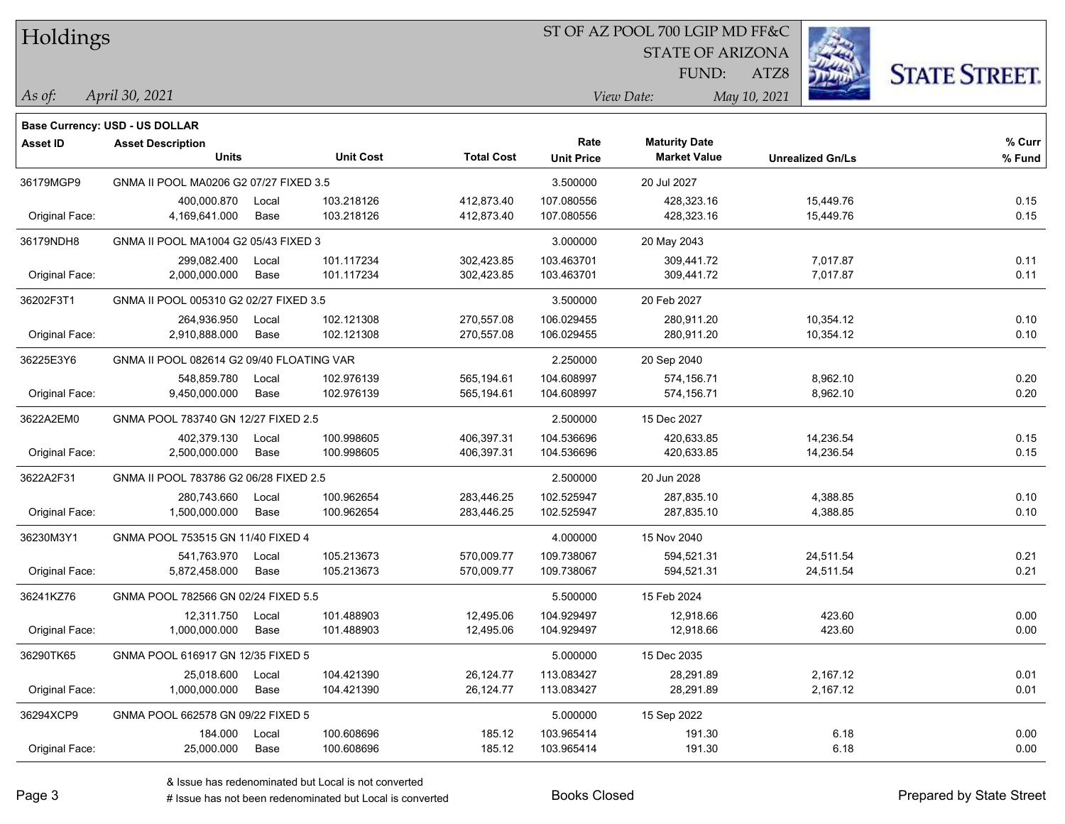| Holdings |
|----------|
|          |

#### ST OF AZ POOL 700 LGIP MD FF&C

**Maturity Date**

STATE OF ARIZONA

ATZ8



**% Curr**

*April 30, 2021 As of: View Date: May 10, 2021*

FUND:

|                | <b>Units</b>                              |       | <b>Unit Cost</b> | <b>Total Cost</b> | <b>Unit Price</b> | <b>Market Value</b> | <b>Unrealized Gn/Ls</b> | % Fund |
|----------------|-------------------------------------------|-------|------------------|-------------------|-------------------|---------------------|-------------------------|--------|
| 36179MGP9      | GNMA II POOL MA0206 G2 07/27 FIXED 3.5    |       |                  |                   | 3.500000          | 20 Jul 2027         |                         |        |
|                | 400,000.870                               | Local | 103.218126       | 412,873.40        | 107.080556        | 428,323.16          | 15,449.76               | 0.15   |
| Original Face: | 4,169,641.000                             | Base  | 103.218126       | 412,873.40        | 107.080556        | 428,323.16          | 15,449.76               | 0.15   |
| 36179NDH8      | GNMA II POOL MA1004 G2 05/43 FIXED 3      |       |                  |                   | 3.000000          | 20 May 2043         |                         |        |
|                | 299,082.400                               | Local | 101.117234       | 302,423.85        | 103.463701        | 309,441.72          | 7,017.87                | 0.11   |
| Original Face: | 2,000,000.000                             | Base  | 101.117234       | 302,423.85        | 103.463701        | 309,441.72          | 7,017.87                | 0.11   |
| 36202F3T1      | GNMA II POOL 005310 G2 02/27 FIXED 3.5    |       |                  |                   | 3.500000          | 20 Feb 2027         |                         |        |
|                | 264,936.950                               | Local | 102.121308       | 270,557.08        | 106.029455        | 280,911.20          | 10,354.12               | 0.10   |
| Original Face: | 2.910.888.000                             | Base  | 102.121308       | 270,557.08        | 106.029455        | 280,911.20          | 10,354.12               | 0.10   |
| 36225E3Y6      | GNMA II POOL 082614 G2 09/40 FLOATING VAR |       |                  |                   | 2.250000          | 20 Sep 2040         |                         |        |
|                | 548,859.780                               | Local | 102.976139       | 565,194.61        | 104.608997        | 574,156.71          | 8,962.10                | 0.20   |
| Original Face: | 9,450,000.000                             | Base  | 102.976139       | 565,194.61        | 104.608997        | 574,156.71          | 8,962.10                | 0.20   |
| 3622A2EM0      | GNMA POOL 783740 GN 12/27 FIXED 2.5       |       |                  |                   | 2.500000          | 15 Dec 2027         |                         |        |
|                | 402,379.130                               | Local | 100.998605       | 406,397.31        | 104.536696        | 420,633.85          | 14,236.54               | 0.15   |
| Original Face: | 2,500,000.000                             | Base  | 100.998605       | 406,397.31        | 104.536696        | 420,633.85          | 14,236.54               | 0.15   |
| 3622A2F31      | GNMA II POOL 783786 G2 06/28 FIXED 2.5    |       |                  |                   | 2.500000          | 20 Jun 2028         |                         |        |
|                | 280,743.660                               | Local | 100.962654       | 283,446.25        | 102.525947        | 287,835.10          | 4,388.85                | 0.10   |
| Original Face: | 1,500,000.000                             | Base  | 100.962654       | 283,446.25        | 102.525947        | 287,835.10          | 4,388.85                | 0.10   |
| 36230M3Y1      | GNMA POOL 753515 GN 11/40 FIXED 4         |       |                  |                   | 4.000000          | 15 Nov 2040         |                         |        |
|                | 541,763.970                               | Local | 105.213673       | 570,009.77        | 109.738067        | 594,521.31          | 24,511.54               | 0.21   |
| Original Face: | 5,872,458.000                             | Base  | 105.213673       | 570,009.77        | 109.738067        | 594,521.31          | 24,511.54               | 0.21   |
| 36241KZ76      | GNMA POOL 782566 GN 02/24 FIXED 5.5       |       |                  |                   | 5.500000          | 15 Feb 2024         |                         |        |
|                | 12,311.750                                | Local | 101.488903       | 12,495.06         | 104.929497        | 12,918.66           | 423.60                  | 0.00   |
| Original Face: | 1.000.000.000                             | Base  | 101.488903       | 12.495.06         | 104.929497        | 12,918.66           | 423.60                  | 0.00   |

**Unit Cost Total Cost Unit Price Market Value Unrealized Gn/Ls** 

| Base Currency: USD - US DOLLAR |  |
|--------------------------------|--|

& Issue has redenominated but Local is not converted

36290TK65 GNMA POOL 616917 GN 12/35 FIXED 5 5.00000 5.000000 5.000000 15 Dec 2035

36294XCP9 GNMA POOL 662578 GN 09/22 FIXED 5 5.000000 15 Sep 2022

**Asset ID Asset Description Rate**

Original Face: 1,000,000.000 Base 104.421390 26,124.77 113.083427 28,291.89 2,167.12 0.01

Original Face: 25,000.000 Base 100.608696 185.12 103.965414 191.30 6.18 0.00

25,018.600 Local 104.421390 26,124.77 113.083427 28,291.89 2,167.12 0.01

184.000 Local 100.608696 185.12 103.965414 191.30 6.18 0.00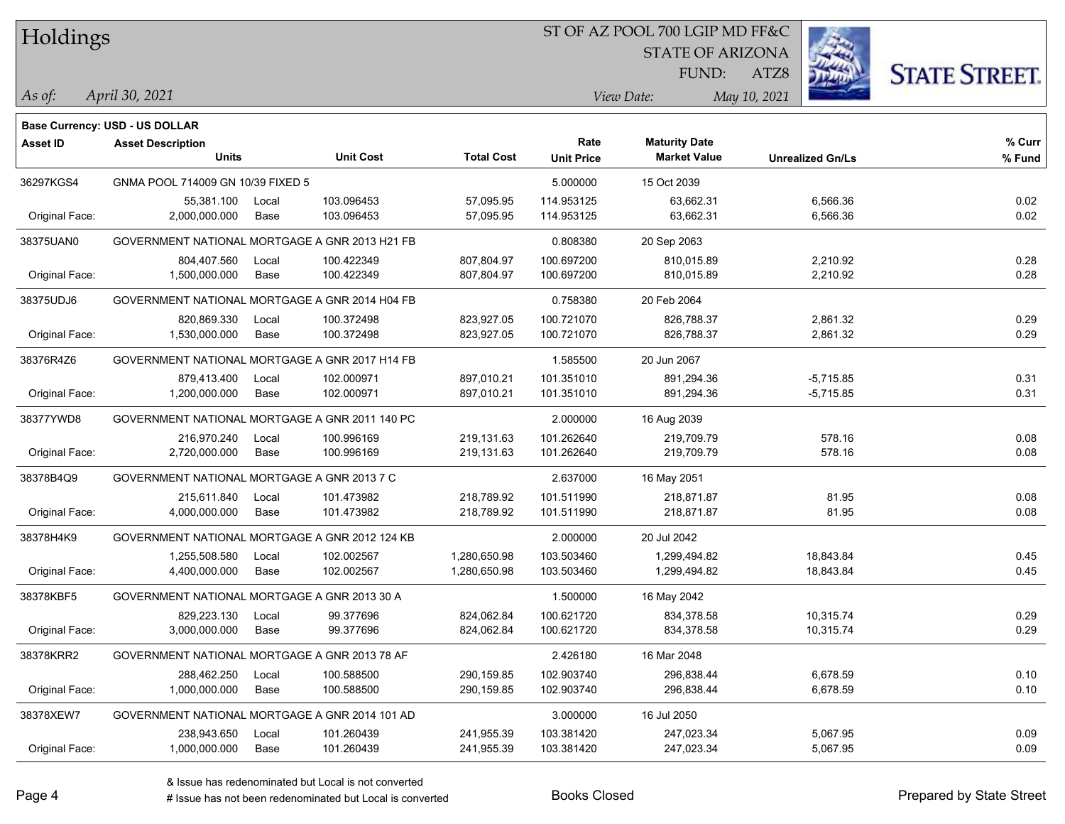| Holdings |
|----------|
|          |

## ST OF AZ POOL 700 LGIP MD FF&C

STATE OF ARIZONA

ATZ8



*April 30, 2021 As of: View Date: May 10, 2021*

FUND:

|  |  | _____ |
|--|--|-------|
|  |  |       |
|  |  |       |
|  |  |       |
|  |  |       |
|  |  |       |
|  |  |       |
|  |  |       |

|                 | <b>Base Currency: USD - US DOLLAR</b>          |       |                  |                   |                   |                      |                         |        |
|-----------------|------------------------------------------------|-------|------------------|-------------------|-------------------|----------------------|-------------------------|--------|
| <b>Asset ID</b> | <b>Asset Description</b>                       |       |                  |                   | Rate              | <b>Maturity Date</b> |                         | % Curr |
|                 | <b>Units</b>                                   |       | <b>Unit Cost</b> | <b>Total Cost</b> | <b>Unit Price</b> | <b>Market Value</b>  | <b>Unrealized Gn/Ls</b> | % Fund |
| 36297KGS4       | GNMA POOL 714009 GN 10/39 FIXED 5              |       |                  |                   | 5.000000          | 15 Oct 2039          |                         |        |
|                 | 55,381.100                                     | Local | 103.096453       | 57,095.95         | 114.953125        | 63,662.31            | 6,566.36                | 0.02   |
| Original Face:  | 2,000,000.000                                  | Base  | 103.096453       | 57,095.95         | 114.953125        | 63,662.31            | 6,566.36                | 0.02   |
| 38375UAN0       | GOVERNMENT NATIONAL MORTGAGE A GNR 2013 H21 FB |       |                  |                   | 0.808380          | 20 Sep 2063          |                         |        |
|                 | 804,407.560                                    | Local | 100.422349       | 807,804.97        | 100.697200        | 810,015.89           | 2,210.92                | 0.28   |
| Original Face:  | 1,500,000.000                                  | Base  | 100.422349       | 807,804.97        | 100.697200        | 810,015.89           | 2,210.92                | 0.28   |
| 38375UDJ6       | GOVERNMENT NATIONAL MORTGAGE A GNR 2014 H04 FB |       |                  |                   | 0.758380          | 20 Feb 2064          |                         |        |
|                 | 820,869.330                                    | Local | 100.372498       | 823,927.05        | 100.721070        | 826,788.37           | 2,861.32                | 0.29   |
| Original Face:  | 1,530,000.000                                  | Base  | 100.372498       | 823,927.05        | 100.721070        | 826,788.37           | 2,861.32                | 0.29   |
| 38376R4Z6       | GOVERNMENT NATIONAL MORTGAGE A GNR 2017 H14 FB |       |                  |                   | 1.585500          | 20 Jun 2067          |                         |        |
|                 | 879,413.400                                    | Local | 102.000971       | 897,010.21        | 101.351010        | 891,294.36           | $-5,715.85$             | 0.31   |
| Original Face:  | 1,200,000.000                                  | Base  | 102.000971       | 897,010.21        | 101.351010        | 891,294.36           | $-5,715.85$             | 0.31   |
| 38377YWD8       | GOVERNMENT NATIONAL MORTGAGE A GNR 2011 140 PC |       |                  |                   | 2.000000          | 16 Aug 2039          |                         |        |
|                 | 216,970.240                                    | Local | 100.996169       | 219,131.63        | 101.262640        | 219,709.79           | 578.16                  | 0.08   |
| Original Face:  | 2,720,000.000                                  | Base  | 100.996169       | 219,131.63        | 101.262640        | 219,709.79           | 578.16                  | 0.08   |
| 38378B4Q9       | GOVERNMENT NATIONAL MORTGAGE A GNR 2013 7 C    |       |                  |                   | 2.637000          | 16 May 2051          |                         |        |
|                 | 215,611.840                                    | Local | 101.473982       | 218,789.92        | 101.511990        | 218,871.87           | 81.95                   | 0.08   |
| Original Face:  | 4,000,000.000                                  | Base  | 101.473982       | 218,789.92        | 101.511990        | 218,871.87           | 81.95                   | 0.08   |
| 38378H4K9       | GOVERNMENT NATIONAL MORTGAGE A GNR 2012 124 KB |       |                  |                   | 2.000000          | 20 Jul 2042          |                         |        |
|                 | 1,255,508.580                                  | Local | 102.002567       | 1,280,650.98      | 103.503460        | 1,299,494.82         | 18,843.84               | 0.45   |
| Original Face:  | 4,400,000.000                                  | Base  | 102.002567       | 1,280,650.98      | 103.503460        | 1,299,494.82         | 18,843.84               | 0.45   |
| 38378KBF5       | GOVERNMENT NATIONAL MORTGAGE A GNR 2013 30 A   |       |                  |                   | 1.500000          | 16 May 2042          |                         |        |
|                 | 829,223.130                                    | Local | 99.377696        | 824,062.84        | 100.621720        | 834,378.58           | 10,315.74               | 0.29   |
| Original Face:  | 3,000,000.000                                  | Base  | 99.377696        | 824,062.84        | 100.621720        | 834,378.58           | 10,315.74               | 0.29   |
| 38378KRR2       | GOVERNMENT NATIONAL MORTGAGE A GNR 2013 78 AF  |       |                  |                   | 2.426180          | 16 Mar 2048          |                         |        |
|                 | 288,462.250                                    | Local | 100.588500       | 290,159.85        | 102.903740        | 296,838.44           | 6,678.59                | 0.10   |
| Original Face:  | 1,000,000.000                                  | Base  | 100.588500       | 290,159.85        | 102.903740        | 296,838.44           | 6,678.59                | 0.10   |
| 38378XEW7       | GOVERNMENT NATIONAL MORTGAGE A GNR 2014 101 AD |       |                  |                   | 3.000000          | 16 Jul 2050          |                         |        |
|                 | 238,943.650                                    | Local | 101.260439       | 241,955.39        | 103.381420        | 247,023.34           | 5,067.95                | 0.09   |
| Original Face:  | 1,000,000.000                                  | Base  | 101.260439       | 241,955.39        | 103.381420        | 247,023.34           | 5,067.95                | 0.09   |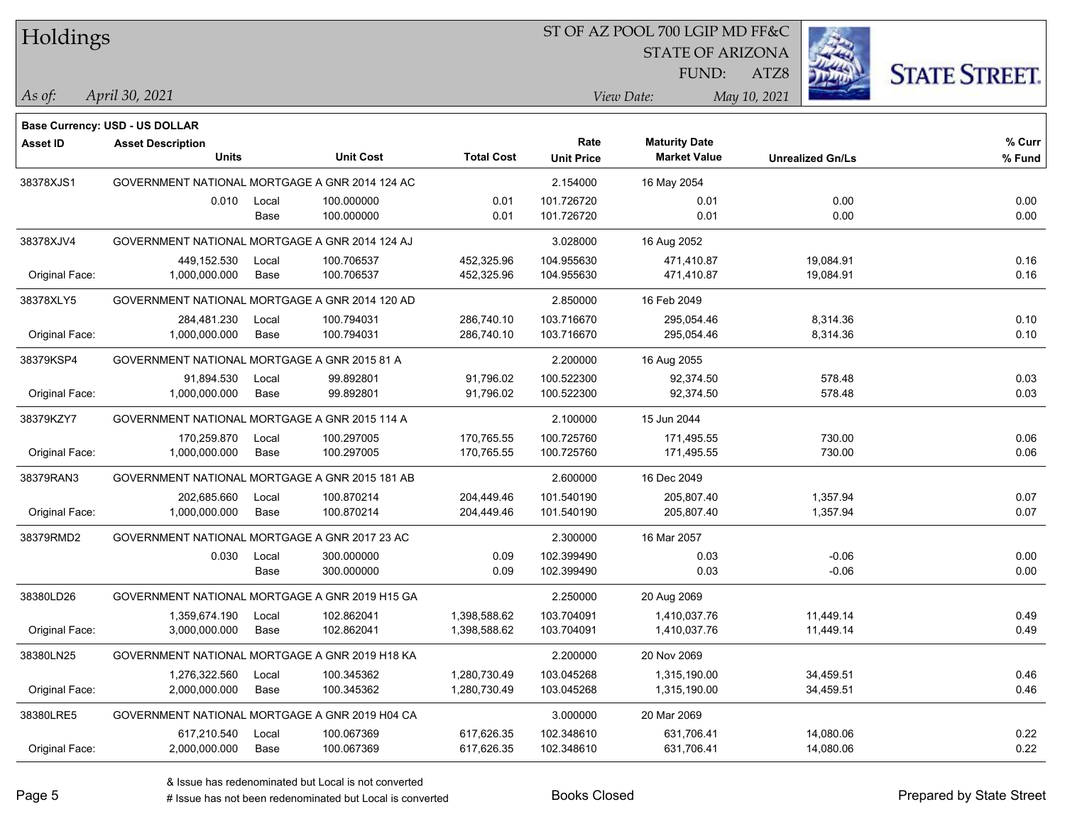Holdings

## ST OF AZ POOL 700 LGIP MD FF&C

STATE OF ARIZONA

ATZ8



FUND:

| As ot: | 2021<br>30<br>Anru | Date:<br>$'$ 1071)<br> | 10.<br>V(a) |
|--------|--------------------|------------------------|-------------|
|        |                    |                        |             |

|                 | <b>Base Currency: USD - US DOLLAR</b>          |       |                  |                   |                   |                      |                         |        |
|-----------------|------------------------------------------------|-------|------------------|-------------------|-------------------|----------------------|-------------------------|--------|
| <b>Asset ID</b> | <b>Asset Description</b>                       |       |                  |                   | Rate              | <b>Maturity Date</b> |                         | % Curr |
|                 | <b>Units</b>                                   |       | <b>Unit Cost</b> | <b>Total Cost</b> | <b>Unit Price</b> | <b>Market Value</b>  | <b>Unrealized Gn/Ls</b> | % Fund |
| 38378XJS1       | GOVERNMENT NATIONAL MORTGAGE A GNR 2014 124 AC |       |                  |                   | 2.154000          | 16 May 2054          |                         |        |
|                 | 0.010                                          | Local | 100.000000       | 0.01              | 101.726720        | 0.01                 | 0.00                    | 0.00   |
|                 |                                                | Base  | 100.000000       | 0.01              | 101.726720        | 0.01                 | 0.00                    | 0.00   |
| 38378XJV4       | GOVERNMENT NATIONAL MORTGAGE A GNR 2014 124 AJ |       |                  |                   | 3.028000          | 16 Aug 2052          |                         |        |
|                 | 449,152.530                                    | Local | 100.706537       | 452,325.96        | 104.955630        | 471,410.87           | 19,084.91               | 0.16   |
| Original Face:  | 1,000,000.000                                  | Base  | 100.706537       | 452,325.96        | 104.955630        | 471,410.87           | 19,084.91               | 0.16   |
| 38378XLY5       | GOVERNMENT NATIONAL MORTGAGE A GNR 2014 120 AD |       |                  |                   | 2.850000          | 16 Feb 2049          |                         |        |
|                 | 284,481.230                                    | Local | 100.794031       | 286,740.10        | 103.716670        | 295,054.46           | 8,314.36                | 0.10   |
| Original Face:  | 1,000,000.000                                  | Base  | 100.794031       | 286,740.10        | 103.716670        | 295,054.46           | 8,314.36                | 0.10   |
| 38379KSP4       | GOVERNMENT NATIONAL MORTGAGE A GNR 2015 81 A   |       |                  |                   | 2.200000          | 16 Aug 2055          |                         |        |
|                 | 91,894.530                                     | Local | 99.892801        | 91,796.02         | 100.522300        | 92,374.50            | 578.48                  | 0.03   |
| Original Face:  | 1,000,000.000                                  | Base  | 99.892801        | 91,796.02         | 100.522300        | 92,374.50            | 578.48                  | 0.03   |
| 38379KZY7       | GOVERNMENT NATIONAL MORTGAGE A GNR 2015 114 A  |       |                  |                   | 2.100000          | 15 Jun 2044          |                         |        |
|                 | 170,259.870                                    | Local | 100.297005       | 170,765.55        | 100.725760        | 171,495.55           | 730.00                  | 0.06   |
| Original Face:  | 1,000,000.000                                  | Base  | 100.297005       | 170,765.55        | 100.725760        | 171,495.55           | 730.00                  | 0.06   |
| 38379RAN3       | GOVERNMENT NATIONAL MORTGAGE A GNR 2015 181 AB |       |                  |                   | 2.600000          | 16 Dec 2049          |                         |        |
|                 | 202,685.660                                    | Local | 100.870214       | 204,449.46        | 101.540190        | 205,807.40           | 1,357.94                | 0.07   |
| Original Face:  | 1,000,000.000                                  | Base  | 100.870214       | 204,449.46        | 101.540190        | 205,807.40           | 1,357.94                | 0.07   |
| 38379RMD2       | GOVERNMENT NATIONAL MORTGAGE A GNR 2017 23 AC  |       |                  |                   | 2.300000          | 16 Mar 2057          |                         |        |
|                 | 0.030                                          | Local | 300.000000       | 0.09              | 102.399490        | 0.03                 | $-0.06$                 | 0.00   |
|                 |                                                | Base  | 300.000000       | 0.09              | 102.399490        | 0.03                 | $-0.06$                 | 0.00   |
| 38380LD26       | GOVERNMENT NATIONAL MORTGAGE A GNR 2019 H15 GA |       |                  |                   | 2.250000          | 20 Aug 2069          |                         |        |
|                 | 1,359,674.190                                  | Local | 102.862041       | 1,398,588.62      | 103.704091        | 1,410,037.76         | 11,449.14               | 0.49   |
| Original Face:  | 3,000,000.000                                  | Base  | 102.862041       | 1,398,588.62      | 103.704091        | 1,410,037.76         | 11,449.14               | 0.49   |
| 38380LN25       | GOVERNMENT NATIONAL MORTGAGE A GNR 2019 H18 KA |       |                  |                   | 2.200000          | 20 Nov 2069          |                         |        |
|                 | 1,276,322.560                                  | Local | 100.345362       | 1,280,730.49      | 103.045268        | 1,315,190.00         | 34,459.51               | 0.46   |
| Original Face:  | 2,000,000.000                                  | Base  | 100.345362       | 1,280,730.49      | 103.045268        | 1,315,190.00         | 34,459.51               | 0.46   |
| 38380LRE5       | GOVERNMENT NATIONAL MORTGAGE A GNR 2019 H04 CA |       |                  |                   | 3.000000          | 20 Mar 2069          |                         |        |
|                 | 617,210.540                                    | Local | 100.067369       | 617,626.35        | 102.348610        | 631,706.41           | 14,080.06               | 0.22   |
| Original Face:  | 2,000,000.000                                  | Base  | 100.067369       | 617,626.35        | 102.348610        | 631,706.41           | 14,080.06               | 0.22   |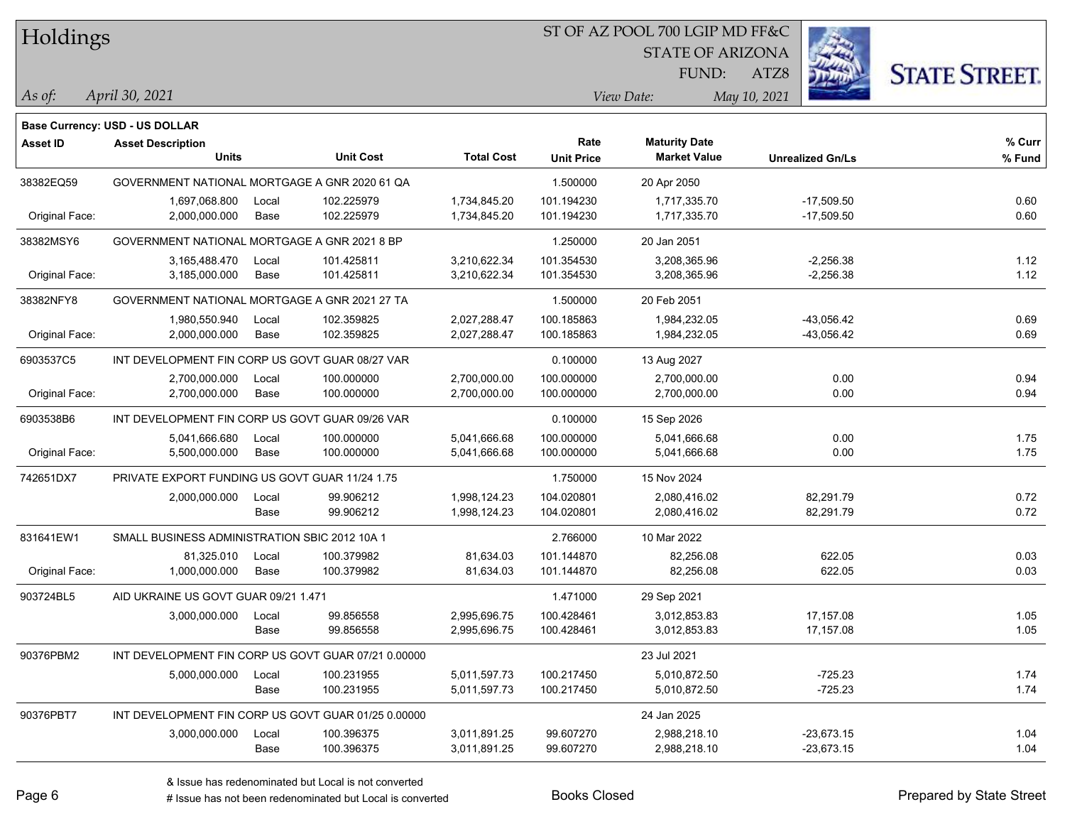Holdings

#### ST OF AZ POOL 700 LGIP MD FF&C

STATE OF ARIZONA

FUND:

**Maturity Date**



**% Fund**

**% Curr**

*April 30, 2021 As of: View Date: May 10, 2021*

**Base Currency: USD - US DOLLAR**

ATZ8

| 38382EQ59      | GOVERNMENT NATIONAL MORTGAGE A GNR 2020 61 QA       |       |            |              | 1.500000   | 20 Apr 2050  |              |      |
|----------------|-----------------------------------------------------|-------|------------|--------------|------------|--------------|--------------|------|
|                | 1,697,068.800                                       | Local | 102.225979 | 1,734,845.20 | 101.194230 | 1,717,335.70 | $-17,509.50$ | 0.60 |
| Original Face: | 2,000,000.000                                       | Base  | 102.225979 | 1,734,845.20 | 101.194230 | 1,717,335.70 | $-17,509.50$ | 0.60 |
| 38382MSY6      | GOVERNMENT NATIONAL MORTGAGE A GNR 2021 8 BP        |       |            |              | 1.250000   | 20 Jan 2051  |              |      |
|                | 3,165,488.470                                       | Local | 101.425811 | 3,210,622.34 | 101.354530 | 3,208,365.96 | $-2,256.38$  | 1.12 |
| Original Face: | 3,185,000.000                                       | Base  | 101.425811 | 3,210,622.34 | 101.354530 | 3,208,365.96 | $-2,256.38$  | 1.12 |
| 38382NFY8      | GOVERNMENT NATIONAL MORTGAGE A GNR 2021 27 TA       |       |            |              | 1.500000   | 20 Feb 2051  |              |      |
|                | 1,980,550.940                                       | Local | 102.359825 | 2,027,288.47 | 100.185863 | 1,984,232.05 | $-43,056.42$ | 0.69 |
| Original Face: | 2,000,000.000                                       | Base  | 102.359825 | 2,027,288.47 | 100.185863 | 1,984,232.05 | $-43,056.42$ | 0.69 |
| 6903537C5      | INT DEVELOPMENT FIN CORP US GOVT GUAR 08/27 VAR     |       |            |              | 0.100000   | 13 Aug 2027  |              |      |
|                | 2,700,000.000                                       | Local | 100.000000 | 2,700,000.00 | 100.000000 | 2,700,000.00 | 0.00         | 0.94 |
| Original Face: | 2,700,000.000                                       | Base  | 100.000000 | 2,700,000.00 | 100.000000 | 2,700,000.00 | 0.00         | 0.94 |
| 6903538B6      | INT DEVELOPMENT FIN CORP US GOVT GUAR 09/26 VAR     |       |            |              | 0.100000   | 15 Sep 2026  |              |      |
|                | 5,041,666.680                                       | Local | 100.000000 | 5,041,666.68 | 100.000000 | 5,041,666.68 | 0.00         | 1.75 |
| Original Face: | 5,500,000.000                                       | Base  | 100.000000 | 5,041,666.68 | 100.000000 | 5,041,666.68 | 0.00         | 1.75 |
| 742651DX7      | PRIVATE EXPORT FUNDING US GOVT GUAR 11/24 1.75      |       |            |              | 1.750000   | 15 Nov 2024  |              |      |
|                | 2,000,000.000                                       | Local | 99.906212  | 1,998,124.23 | 104.020801 | 2,080,416.02 | 82,291.79    | 0.72 |
|                |                                                     | Base  | 99.906212  | 1,998,124.23 | 104.020801 | 2,080,416.02 | 82,291.79    | 0.72 |
| 831641EW1      | SMALL BUSINESS ADMINISTRATION SBIC 2012 10A 1       |       |            |              | 2.766000   | 10 Mar 2022  |              |      |
|                | 81.325.010                                          | Local | 100.379982 | 81,634.03    | 101.144870 | 82.256.08    | 622.05       | 0.03 |
| Original Face: | 1,000,000.000                                       | Base  | 100.379982 | 81,634.03    | 101.144870 | 82,256.08    | 622.05       | 0.03 |
| 903724BL5      | AID UKRAINE US GOVT GUAR 09/21 1.471                |       |            |              | 1.471000   | 29 Sep 2021  |              |      |
|                | 3,000,000.000                                       | Local | 99.856558  | 2,995,696.75 | 100.428461 | 3,012,853.83 | 17,157.08    | 1.05 |
|                |                                                     | Base  | 99.856558  | 2,995,696.75 | 100.428461 | 3,012,853.83 | 17,157.08    | 1.05 |
| 90376PBM2      | INT DEVELOPMENT FIN CORP US GOVT GUAR 07/21 0.00000 |       |            |              |            | 23 Jul 2021  |              |      |
|                | 5,000,000.000                                       | Local | 100.231955 | 5,011,597.73 | 100.217450 | 5,010,872.50 | $-725.23$    | 1.74 |
|                |                                                     |       |            |              |            |              |              |      |

**Units Unit Cost Total Cost Unit Price Market Value Unrealized Gn/Ls**

**Asset ID Asset Description Rate**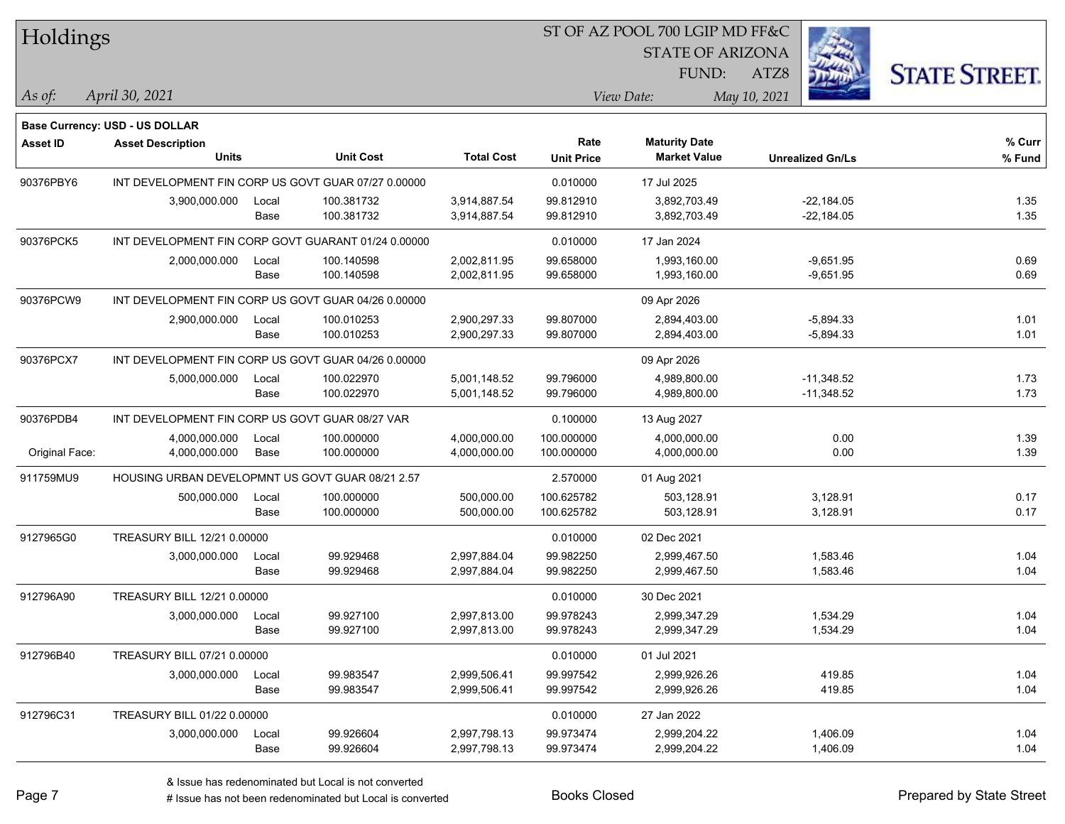| Holdings        |                                                     |       |                  |                   |                   | ST OF AZ POOL 700 LGIP MD FF&C |                         |                      |
|-----------------|-----------------------------------------------------|-------|------------------|-------------------|-------------------|--------------------------------|-------------------------|----------------------|
|                 |                                                     |       |                  |                   |                   | <b>STATE OF ARIZONA</b>        |                         |                      |
|                 |                                                     |       |                  |                   |                   | FUND:                          | ATZ8                    | <b>STATE STREET.</b> |
| As of:          | April 30, 2021                                      |       |                  |                   |                   | View Date:                     | May 10, 2021            |                      |
|                 | <b>Base Currency: USD - US DOLLAR</b>               |       |                  |                   |                   |                                |                         |                      |
| <b>Asset ID</b> | <b>Asset Description</b>                            |       |                  |                   | Rate              | <b>Maturity Date</b>           |                         | % Curr               |
|                 | Units                                               |       | <b>Unit Cost</b> | <b>Total Cost</b> | <b>Unit Price</b> | <b>Market Value</b>            | <b>Unrealized Gn/Ls</b> | % Fund               |
| 90376PBY6       | INT DEVELOPMENT FIN CORP US GOVT GUAR 07/27 0.00000 |       |                  |                   | 0.010000          | 17 Jul 2025                    |                         |                      |
|                 | 3,900,000.000                                       | Local | 100.381732       | 3,914,887.54      | 99.812910         | 3,892,703.49                   | $-22,184.05$            | 1.35                 |
|                 |                                                     | Base  | 100.381732       | 3,914,887.54      | 99.812910         | 3,892,703.49                   | $-22,184.05$            | 1.35                 |
| 90376PCK5       | INT DEVELOPMENT FIN CORP GOVT GUARANT 01/24 0.00000 |       |                  |                   | 0.010000          | 17 Jan 2024                    |                         |                      |
|                 | 2,000,000.000                                       | Local | 100.140598       | 2,002,811.95      | 99.658000         | 1,993,160.00                   | $-9,651.95$             | 0.69                 |
|                 |                                                     | Base  | 100.140598       | 2,002,811.95      | 99.658000         | 1,993,160.00                   | $-9,651.95$             | 0.69                 |
| 90376PCW9       | INT DEVELOPMENT FIN CORP US GOVT GUAR 04/26 0.00000 |       |                  |                   |                   | 09 Apr 2026                    |                         |                      |
|                 | 2,900,000.000                                       | Local | 100.010253       | 2,900,297.33      | 99.807000         | 2,894,403.00                   | $-5,894.33$             | 1.01                 |
|                 |                                                     | Base  | 100.010253       | 2,900,297.33      | 99.807000         | 2,894,403.00                   | $-5,894.33$             | 1.01                 |
| 90376PCX7       | INT DEVELOPMENT FIN CORP US GOVT GUAR 04/26 0.00000 |       |                  |                   |                   | 09 Apr 2026                    |                         |                      |
|                 | 5,000,000.000                                       | Local | 100.022970       | 5,001,148.52      | 99.796000         | 4,989,800.00                   | $-11,348.52$            | 1.73                 |
|                 |                                                     | Base  | 100.022970       | 5,001,148.52      | 99.796000         | 4,989,800.00                   | $-11,348.52$            | 1.73                 |
| 90376PDB4       | INT DEVELOPMENT FIN CORP US GOVT GUAR 08/27 VAR     |       |                  |                   | 0.100000          | 13 Aug 2027                    |                         |                      |
|                 | 4,000,000.000                                       | Local | 100.000000       | 4,000,000.00      | 100.000000        | 4,000,000.00                   | 0.00                    | 1.39                 |
| Original Face:  | 4,000,000.000                                       | Base  | 100.000000       | 4,000,000.00      | 100.000000        | 4,000,000.00                   | 0.00                    | 1.39                 |
| 911759MU9       | HOUSING URBAN DEVELOPMNT US GOVT GUAR 08/21 2.57    |       |                  |                   | 2.570000          | 01 Aug 2021                    |                         |                      |
|                 | 500,000.000                                         | Local | 100.000000       | 500,000.00        | 100.625782        | 503,128.91                     | 3,128.91                | 0.17                 |
|                 |                                                     | Base  | 100.000000       | 500,000.00        | 100.625782        | 503,128.91                     | 3,128.91                | 0.17                 |
| 9127965G0       | TREASURY BILL 12/21 0.00000                         |       |                  |                   | 0.010000          | 02 Dec 2021                    |                         |                      |
|                 | 3,000,000.000                                       | Local | 99.929468        | 2,997,884.04      | 99.982250         | 2,999,467.50                   | 1,583.46                | 1.04                 |
|                 |                                                     | Base  | 99.929468        | 2,997,884.04      | 99.982250         | 2,999,467.50                   | 1,583.46                | 1.04                 |
| 912796A90       | TREASURY BILL 12/21 0.00000                         |       |                  |                   | 0.010000          | 30 Dec 2021                    |                         |                      |
|                 | 3,000,000.000 Local                                 |       | 99.927100        | 2,997,813.00      | 99.978243         | 2,999,347.29                   | 1,534.29                | 1.04                 |
|                 |                                                     | Base  | 99.927100        | 2,997,813.00      | 99.978243         | 2,999,347.29                   | 1,534.29                | 1.04                 |
| 912796B40       | TREASURY BILL 07/21 0.00000                         |       |                  |                   | 0.010000          | 01 Jul 2021                    |                         |                      |
|                 | 3,000,000.000                                       | Local | 99.983547        | 2,999,506.41      | 99.997542         | 2,999,926.26                   | 419.85                  | 1.04                 |
|                 |                                                     | Base  | 99.983547        | 2,999,506.41      | 99.997542         | 2,999,926.26                   | 419.85                  | 1.04                 |
| 912796C31       | TREASURY BILL 01/22 0.00000                         |       |                  |                   | 0.010000          | 27 Jan 2022                    |                         |                      |
|                 | 3,000,000.000                                       | Local | 99.926604        | 2,997,798.13      | 99.973474         | 2,999,204.22                   | 1,406.09                | 1.04                 |
|                 |                                                     | Base  | 99.926604        | 2,997,798.13      | 99.973474         | 2,999,204.22                   | 1,406.09                | 1.04                 |

 $\overline{\phantom{0}}$ 

 $\overline{\phantom{0}}$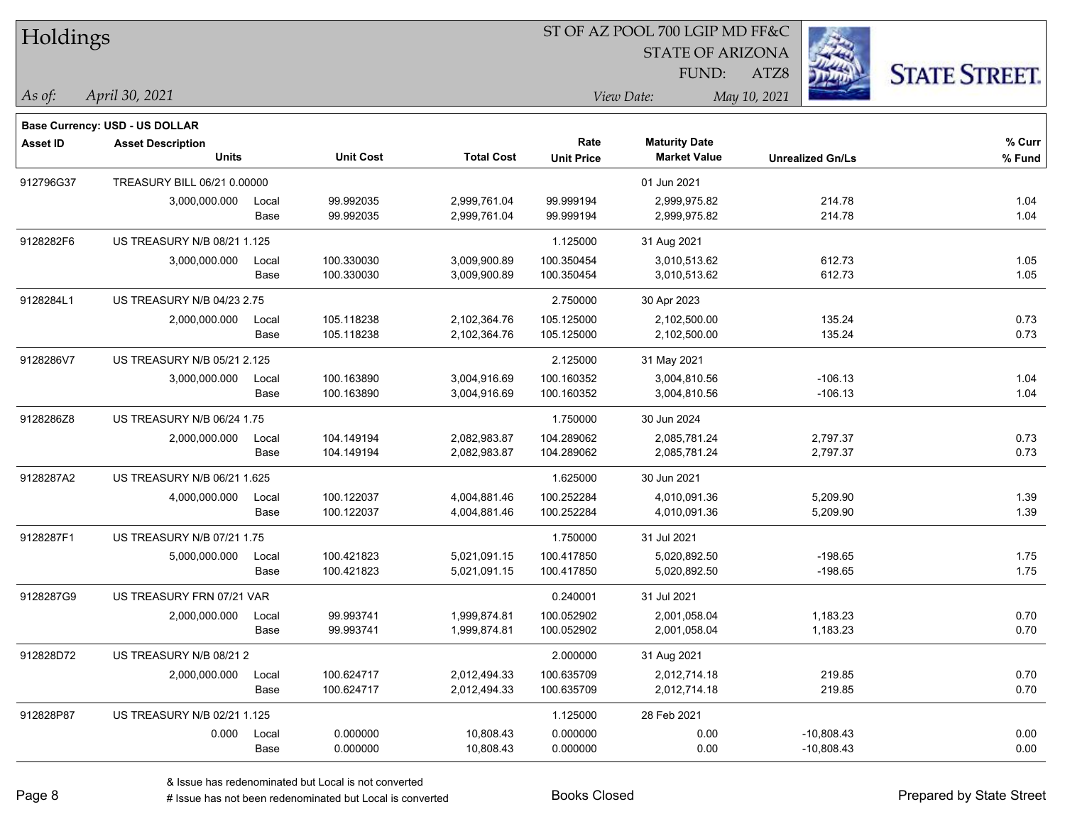| Holdings        |                                                            |       |                  |                   | ST OF AZ POOL 700 LGIP MD FF&C |                         |                         |        |                      |
|-----------------|------------------------------------------------------------|-------|------------------|-------------------|--------------------------------|-------------------------|-------------------------|--------|----------------------|
|                 |                                                            |       |                  |                   |                                | <b>STATE OF ARIZONA</b> |                         |        |                      |
|                 |                                                            |       |                  |                   |                                | FUND:                   | ATZ8                    |        | <b>STATE STREET.</b> |
| As of:          | April 30, 2021                                             |       |                  |                   |                                | View Date:              | May 10, 2021            |        |                      |
|                 |                                                            |       |                  |                   |                                |                         |                         |        |                      |
| <b>Asset ID</b> | Base Currency: USD - US DOLLAR<br><b>Asset Description</b> |       |                  |                   | Rate                           | <b>Maturity Date</b>    |                         |        | % Curr               |
|                 | <b>Units</b>                                               |       | <b>Unit Cost</b> | <b>Total Cost</b> | <b>Unit Price</b>              | <b>Market Value</b>     | <b>Unrealized Gn/Ls</b> |        | % Fund               |
| 912796G37       | TREASURY BILL 06/21 0.00000                                |       |                  |                   |                                | 01 Jun 2021             |                         |        |                      |
|                 | 3,000,000.000                                              | Local | 99.992035        | 2,999,761.04      | 99.999194                      | 2,999,975.82            |                         | 214.78 | 1.04                 |
|                 |                                                            | Base  | 99.992035        | 2,999,761.04      | 99.999194                      | 2,999,975.82            |                         | 214.78 | 1.04                 |
| 9128282F6       | US TREASURY N/B 08/21 1.125                                |       |                  |                   | 1.125000                       | 31 Aug 2021             |                         |        |                      |
|                 | 3,000,000.000                                              | Local | 100.330030       | 3,009,900.89      | 100.350454                     | 3,010,513.62            |                         | 612.73 | 1.05                 |
|                 |                                                            | Base  | 100.330030       | 3,009,900.89      | 100.350454                     | 3,010,513.62            |                         | 612.73 | 1.05                 |
| 9128284L1       | US TREASURY N/B 04/23 2.75                                 |       |                  |                   | 2.750000                       | 30 Apr 2023             |                         |        |                      |
|                 | 2,000,000.000                                              | Local | 105.118238       | 2,102,364.76      | 105.125000                     | 2,102,500.00            |                         | 135.24 | 0.73                 |
|                 |                                                            | Base  | 105.118238       | 2,102,364.76      | 105.125000                     | 2,102,500.00            |                         | 135.24 | 0.73                 |
| 9128286V7       | US TREASURY N/B 05/21 2.125                                |       |                  |                   | 2.125000                       | 31 May 2021             |                         |        |                      |
|                 | 3,000,000.000                                              | Local | 100.163890       | 3,004,916.69      | 100.160352                     | 3,004,810.56            | $-106.13$               |        | 1.04                 |
|                 |                                                            | Base  | 100.163890       | 3,004,916.69      | 100.160352                     | 3,004,810.56            | $-106.13$               |        | 1.04                 |
| 9128286Z8       | US TREASURY N/B 06/24 1.75                                 |       |                  |                   | 1.750000                       | 30 Jun 2024             |                         |        |                      |
|                 | 2,000,000.000                                              | Local | 104.149194       | 2,082,983.87      | 104.289062                     | 2,085,781.24            | 2,797.37                |        | 0.73                 |
|                 |                                                            | Base  | 104.149194       | 2,082,983.87      | 104.289062                     | 2,085,781.24            | 2,797.37                |        | 0.73                 |
| 9128287A2       | US TREASURY N/B 06/21 1.625                                |       |                  |                   | 1.625000                       | 30 Jun 2021             |                         |        |                      |
|                 | 4,000,000.000                                              | Local | 100.122037       | 4,004,881.46      | 100.252284                     | 4,010,091.36            | 5,209.90                |        | 1.39                 |
|                 |                                                            | Base  | 100.122037       | 4,004,881.46      | 100.252284                     | 4,010,091.36            | 5,209.90                |        | 1.39                 |
| 9128287F1       | US TREASURY N/B 07/21 1.75                                 |       |                  |                   | 1.750000                       | 31 Jul 2021             |                         |        |                      |
|                 | 5,000,000.000                                              | Local | 100.421823       | 5,021,091.15      | 100.417850                     | 5,020,892.50            | $-198.65$               |        | 1.75                 |
|                 |                                                            | Base  | 100.421823       | 5,021,091.15      | 100.417850                     | 5,020,892.50            | $-198.65$               |        | 1.75                 |
| 9128287G9       | US TREASURY FRN 07/21 VAR                                  |       |                  |                   | 0.240001                       | 31 Jul 2021             |                         |        |                      |
|                 | 2,000,000.000                                              | Local | 99.993741        | 1,999,874.81      | 100.052902                     | 2,001,058.04            | 1,183.23                |        | 0.70                 |
|                 |                                                            | Base  | 99.993741        | 1,999,874.81      | 100.052902                     | 2,001,058.04            | 1,183.23                |        | 0.70                 |
| 912828D72       | US TREASURY N/B 08/21 2                                    |       |                  |                   | 2.000000                       | 31 Aug 2021             |                         |        |                      |
|                 | 2,000,000.000                                              | Local | 100.624717       | 2,012,494.33      | 100.635709                     | 2,012,714.18            |                         | 219.85 | 0.70                 |
|                 |                                                            | Base  | 100.624717       | 2,012,494.33      | 100.635709                     | 2,012,714.18            |                         | 219.85 | 0.70                 |
| 912828P87       | US TREASURY N/B 02/21 1.125                                |       |                  |                   | 1.125000                       | 28 Feb 2021             |                         |        |                      |
|                 | 0.000                                                      | Local | 0.000000         | 10,808.43         | 0.000000                       | 0.00                    | $-10,808.43$            |        | 0.00                 |
|                 |                                                            | Base  | 0.000000         | 10,808.43         | 0.000000                       | 0.00                    | $-10,808.43$            |        | 0.00                 |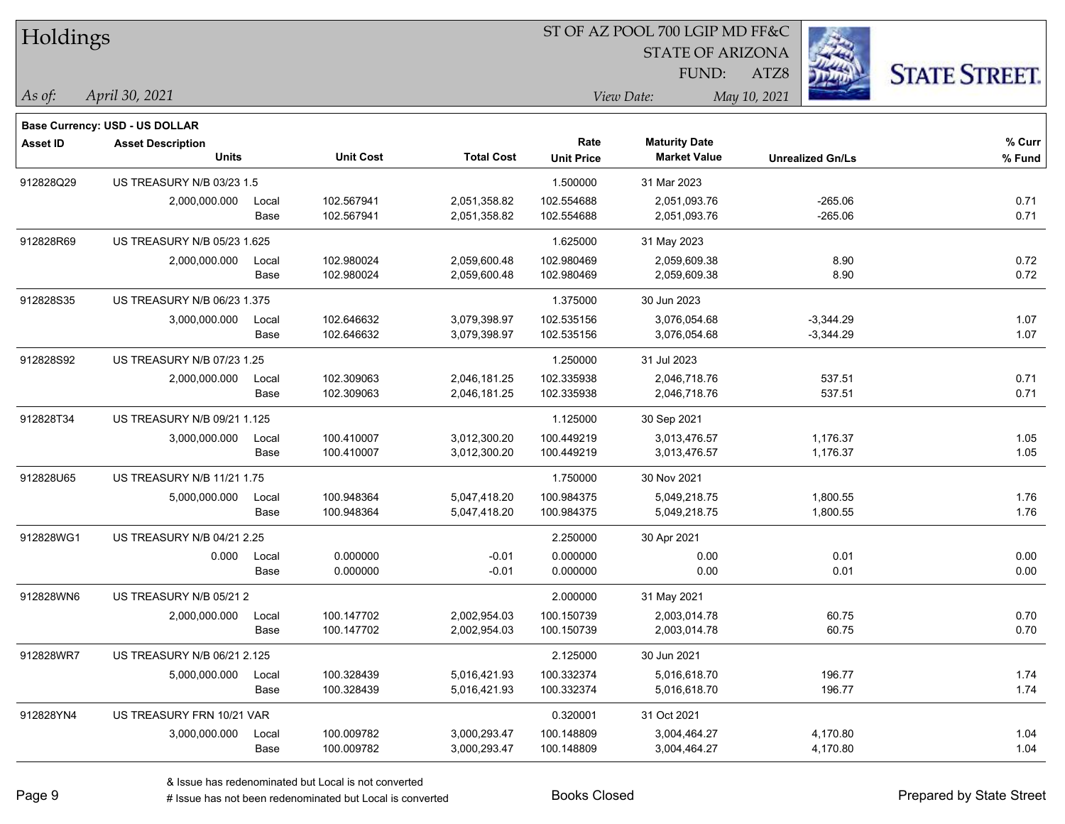| Holdings        |                                          |       |                  |                   | ST OF AZ POOL 700 LGIP MD FF&C |                                             |                         |                      |  |  |
|-----------------|------------------------------------------|-------|------------------|-------------------|--------------------------------|---------------------------------------------|-------------------------|----------------------|--|--|
|                 |                                          |       |                  |                   |                                | <b>STATE OF ARIZONA</b>                     |                         |                      |  |  |
|                 |                                          |       |                  |                   |                                | FUND:                                       | ATZ8                    | <b>STATE STREET.</b> |  |  |
| $\vert$ As of:  | April 30, 2021                           |       |                  |                   |                                | View Date:                                  | May 10, 2021            |                      |  |  |
|                 |                                          |       |                  |                   |                                |                                             |                         |                      |  |  |
|                 | Base Currency: USD - US DOLLAR           |       |                  |                   | Rate                           |                                             |                         |                      |  |  |
| <b>Asset ID</b> | <b>Asset Description</b><br><b>Units</b> |       | <b>Unit Cost</b> | <b>Total Cost</b> | <b>Unit Price</b>              | <b>Maturity Date</b><br><b>Market Value</b> | <b>Unrealized Gn/Ls</b> | % Curr<br>% Fund     |  |  |
| 912828Q29       | US TREASURY N/B 03/23 1.5                |       |                  |                   | 1.500000                       | 31 Mar 2023                                 |                         |                      |  |  |
|                 | 2,000,000.000                            | Local | 102.567941       | 2,051,358.82      | 102.554688                     | 2,051,093.76                                | $-265.06$               | 0.71                 |  |  |
|                 |                                          | Base  | 102.567941       | 2,051,358.82      | 102.554688                     | 2,051,093.76                                | $-265.06$               | 0.71                 |  |  |
| 912828R69       | US TREASURY N/B 05/23 1.625              |       |                  |                   | 1.625000                       | 31 May 2023                                 |                         |                      |  |  |
|                 | 2,000,000.000                            | Local | 102.980024       | 2,059,600.48      | 102.980469                     | 2,059,609.38                                | 8.90                    | 0.72                 |  |  |
|                 |                                          | Base  | 102.980024       | 2,059,600.48      | 102.980469                     | 2,059,609.38                                | 8.90                    | 0.72                 |  |  |
| 912828S35       | US TREASURY N/B 06/23 1.375              |       |                  |                   | 1.375000                       | 30 Jun 2023                                 |                         |                      |  |  |
|                 | 3,000,000.000                            | Local | 102.646632       | 3,079,398.97      | 102.535156                     | 3,076,054.68                                | $-3,344.29$             | 1.07                 |  |  |
|                 |                                          | Base  | 102.646632       | 3,079,398.97      | 102.535156                     | 3,076,054.68                                | $-3,344.29$             | 1.07                 |  |  |
| 912828S92       | US TREASURY N/B 07/23 1.25               |       |                  |                   | 1.250000                       | 31 Jul 2023                                 |                         |                      |  |  |
|                 | 2,000,000.000                            | Local | 102.309063       | 2,046,181.25      | 102.335938                     | 2,046,718.76                                | 537.51                  | 0.71                 |  |  |
|                 |                                          | Base  | 102.309063       | 2,046,181.25      | 102.335938                     | 2,046,718.76                                | 537.51                  | 0.71                 |  |  |
| 912828T34       | US TREASURY N/B 09/21 1.125              |       |                  |                   | 1.125000                       | 30 Sep 2021                                 |                         |                      |  |  |
|                 | 3,000,000.000                            | Local | 100.410007       | 3,012,300.20      | 100.449219                     | 3,013,476.57                                | 1,176.37                | 1.05                 |  |  |
|                 |                                          | Base  | 100.410007       | 3,012,300.20      | 100.449219                     | 3,013,476.57                                | 1,176.37                | 1.05                 |  |  |
| 912828U65       | US TREASURY N/B 11/21 1.75               |       |                  |                   | 1.750000                       | 30 Nov 2021                                 |                         |                      |  |  |
|                 | 5,000,000.000                            | Local | 100.948364       | 5,047,418.20      | 100.984375                     | 5,049,218.75                                | 1,800.55                | 1.76                 |  |  |
|                 |                                          | Base  | 100.948364       | 5,047,418.20      | 100.984375                     | 5,049,218.75                                | 1,800.55                | 1.76                 |  |  |
| 912828WG1       | US TREASURY N/B 04/21 2.25               |       |                  |                   | 2.250000                       | 30 Apr 2021                                 |                         |                      |  |  |
|                 | 0.000                                    | Local | 0.000000         | $-0.01$           | 0.000000                       | 0.00                                        | 0.01                    | 0.00                 |  |  |
|                 |                                          | Base  | 0.000000         | $-0.01$           | 0.000000                       | 0.00                                        | 0.01                    | 0.00                 |  |  |
| 912828WN6       | US TREASURY N/B 05/21 2                  |       |                  |                   | 2.000000                       | 31 May 2021                                 |                         |                      |  |  |
|                 | 2,000,000.000                            | Local | 100.147702       | 2,002,954.03      | 100.150739                     | 2,003,014.78                                | 60.75                   | 0.70                 |  |  |
|                 |                                          | Base  | 100.147702       | 2,002,954.03      | 100.150739                     | 2,003,014.78                                | 60.75                   | 0.70                 |  |  |
| 912828WR7       | US TREASURY N/B 06/21 2.125              |       |                  |                   | 2.125000                       | 30 Jun 2021                                 |                         |                      |  |  |
|                 | 5,000,000.000                            | Local | 100.328439       | 5,016,421.93      | 100.332374                     | 5,016,618.70                                | 196.77                  | 1.74                 |  |  |
|                 |                                          | Base  | 100.328439       | 5,016,421.93      | 100.332374                     | 5,016,618.70                                | 196.77                  | 1.74                 |  |  |
| 912828YN4       | US TREASURY FRN 10/21 VAR                |       |                  |                   | 0.320001                       | 31 Oct 2021                                 |                         |                      |  |  |
|                 | 3,000,000.000                            | Local | 100.009782       | 3,000,293.47      | 100.148809                     | 3,004,464.27                                | 4,170.80                | 1.04                 |  |  |
|                 |                                          | Base  | 100.009782       | 3,000,293.47      | 100.148809                     | 3,004,464.27                                | 4,170.80                | 1.04                 |  |  |

# Issue has not been redenominated but Local is converted Books Closed Prepared by State Street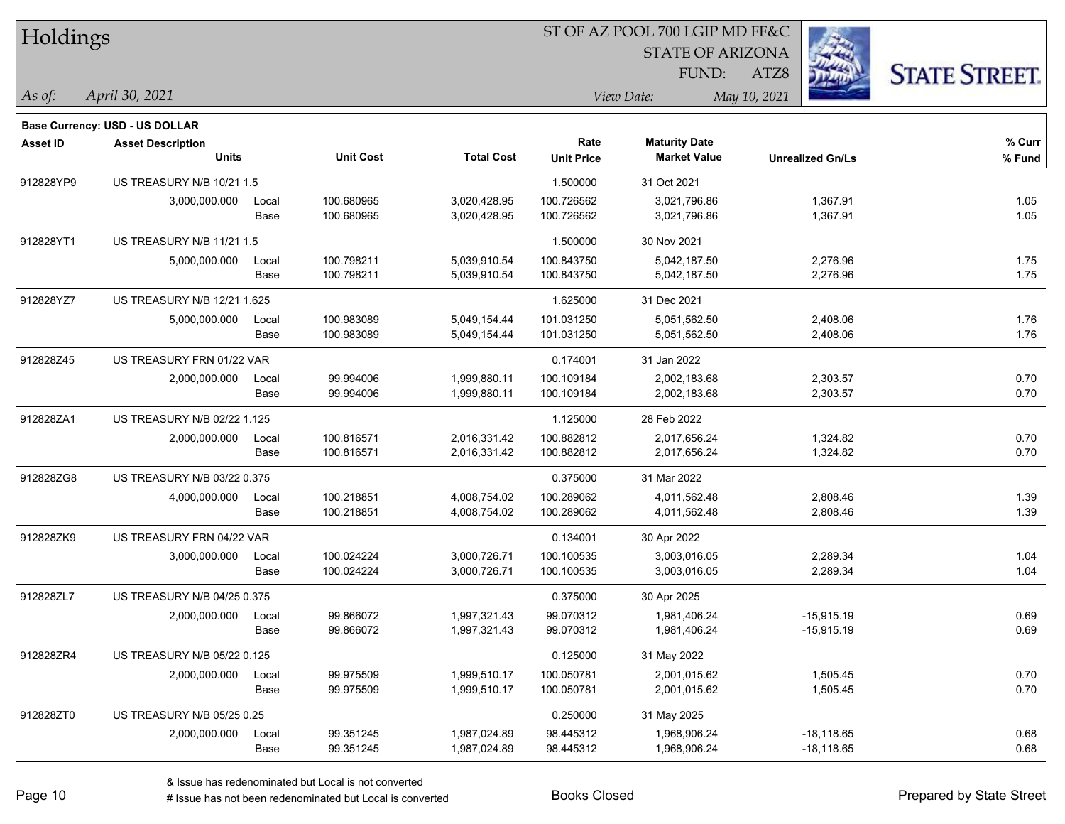| Holdings        |                                                            |       |                  |                   | ST OF AZ POOL 700 LGIP MD FF&C |                         |                         |                      |  |  |
|-----------------|------------------------------------------------------------|-------|------------------|-------------------|--------------------------------|-------------------------|-------------------------|----------------------|--|--|
|                 |                                                            |       |                  |                   |                                | <b>STATE OF ARIZONA</b> |                         |                      |  |  |
|                 |                                                            |       |                  |                   |                                | FUND:                   | ATZ8                    | <b>STATE STREET.</b> |  |  |
| As of:          | April 30, 2021                                             |       |                  |                   |                                | View Date:              | May 10, 2021            |                      |  |  |
|                 |                                                            |       |                  |                   |                                |                         |                         |                      |  |  |
| <b>Asset ID</b> | Base Currency: USD - US DOLLAR<br><b>Asset Description</b> |       |                  |                   | Rate                           | <b>Maturity Date</b>    |                         | % Curr               |  |  |
|                 | <b>Units</b>                                               |       | <b>Unit Cost</b> | <b>Total Cost</b> | <b>Unit Price</b>              | <b>Market Value</b>     | <b>Unrealized Gn/Ls</b> | % Fund               |  |  |
| 912828YP9       | US TREASURY N/B 10/21 1.5                                  |       |                  |                   | 1.500000                       | 31 Oct 2021             |                         |                      |  |  |
|                 | 3,000,000.000                                              | Local | 100.680965       | 3,020,428.95      | 100.726562                     | 3,021,796.86            | 1,367.91                | 1.05                 |  |  |
|                 |                                                            | Base  | 100.680965       | 3,020,428.95      | 100.726562                     | 3,021,796.86            | 1,367.91                | 1.05                 |  |  |
| 912828YT1       | US TREASURY N/B 11/21 1.5                                  |       |                  |                   | 1.500000                       | 30 Nov 2021             |                         |                      |  |  |
|                 | 5,000,000.000                                              | Local | 100.798211       | 5,039,910.54      | 100.843750                     | 5,042,187.50            | 2,276.96                | 1.75                 |  |  |
|                 |                                                            | Base  | 100.798211       | 5,039,910.54      | 100.843750                     | 5,042,187.50            | 2,276.96                | 1.75                 |  |  |
| 912828YZ7       | US TREASURY N/B 12/21 1.625                                |       |                  |                   | 1.625000                       | 31 Dec 2021             |                         |                      |  |  |
|                 | 5,000,000.000                                              | Local | 100.983089       | 5,049,154.44      | 101.031250                     | 5,051,562.50            | 2,408.06                | 1.76                 |  |  |
|                 |                                                            | Base  | 100.983089       | 5,049,154.44      | 101.031250                     | 5,051,562.50            | 2,408.06                | 1.76                 |  |  |
| 912828Z45       | US TREASURY FRN 01/22 VAR                                  |       |                  |                   | 0.174001                       | 31 Jan 2022             |                         |                      |  |  |
|                 | 2,000,000.000                                              | Local | 99.994006        | 1,999,880.11      | 100.109184                     | 2,002,183.68            | 2,303.57                | 0.70                 |  |  |
|                 |                                                            | Base  | 99.994006        | 1,999,880.11      | 100.109184                     | 2,002,183.68            | 2,303.57                | 0.70                 |  |  |
| 912828ZA1       | US TREASURY N/B 02/22 1.125                                |       |                  |                   | 1.125000                       | 28 Feb 2022             |                         |                      |  |  |
|                 | 2,000,000.000                                              | Local | 100.816571       | 2,016,331.42      | 100.882812                     | 2,017,656.24            | 1,324.82                | 0.70                 |  |  |
|                 |                                                            | Base  | 100.816571       | 2,016,331.42      | 100.882812                     | 2,017,656.24            | 1,324.82                | 0.70                 |  |  |
| 912828ZG8       | US TREASURY N/B 03/22 0.375                                |       |                  |                   | 0.375000                       | 31 Mar 2022             |                         |                      |  |  |
|                 | 4,000,000.000                                              | Local | 100.218851       | 4,008,754.02      | 100.289062                     | 4,011,562.48            | 2,808.46                | 1.39                 |  |  |
|                 |                                                            | Base  | 100.218851       | 4,008,754.02      | 100.289062                     | 4,011,562.48            | 2,808.46                | 1.39                 |  |  |
| 912828ZK9       | US TREASURY FRN 04/22 VAR                                  |       |                  |                   | 0.134001                       | 30 Apr 2022             |                         |                      |  |  |
|                 | 3,000,000.000                                              | Local | 100.024224       | 3,000,726.71      | 100.100535                     | 3,003,016.05            | 2,289.34                | 1.04                 |  |  |
|                 |                                                            | Base  | 100.024224       | 3,000,726.71      | 100.100535                     | 3,003,016.05            | 2,289.34                | 1.04                 |  |  |
| 912828ZL7       | US TREASURY N/B 04/25 0.375                                |       |                  |                   | 0.375000                       | 30 Apr 2025             |                         |                      |  |  |
|                 | 2,000,000.000                                              | Local | 99.866072        | 1,997,321.43      | 99.070312                      | 1,981,406.24            | $-15,915.19$            | 0.69                 |  |  |
|                 |                                                            | Base  | 99.866072        | 1,997,321.43      | 99.070312                      | 1,981,406.24            | $-15,915.19$            | 0.69                 |  |  |
| 912828ZR4       | US TREASURY N/B 05/22 0.125                                |       |                  |                   | 0.125000                       | 31 May 2022             |                         |                      |  |  |
|                 | 2,000,000.000                                              | Local | 99.975509        | 1,999,510.17      | 100.050781                     | 2,001,015.62            | 1,505.45                | 0.70                 |  |  |
|                 |                                                            | Base  | 99.975509        | 1,999,510.17      | 100.050781                     | 2,001,015.62            | 1,505.45                | 0.70                 |  |  |
| 912828ZT0       | US TREASURY N/B 05/25 0.25                                 |       |                  |                   | 0.250000                       | 31 May 2025             |                         |                      |  |  |
|                 | 2,000,000.000                                              | Local | 99.351245        | 1,987,024.89      | 98.445312                      | 1,968,906.24            | $-18,118.65$            | 0.68                 |  |  |
|                 |                                                            | Base  | 99.351245        | 1,987,024.89      | 98.445312                      | 1,968,906.24            | $-18,118.65$            | 0.68                 |  |  |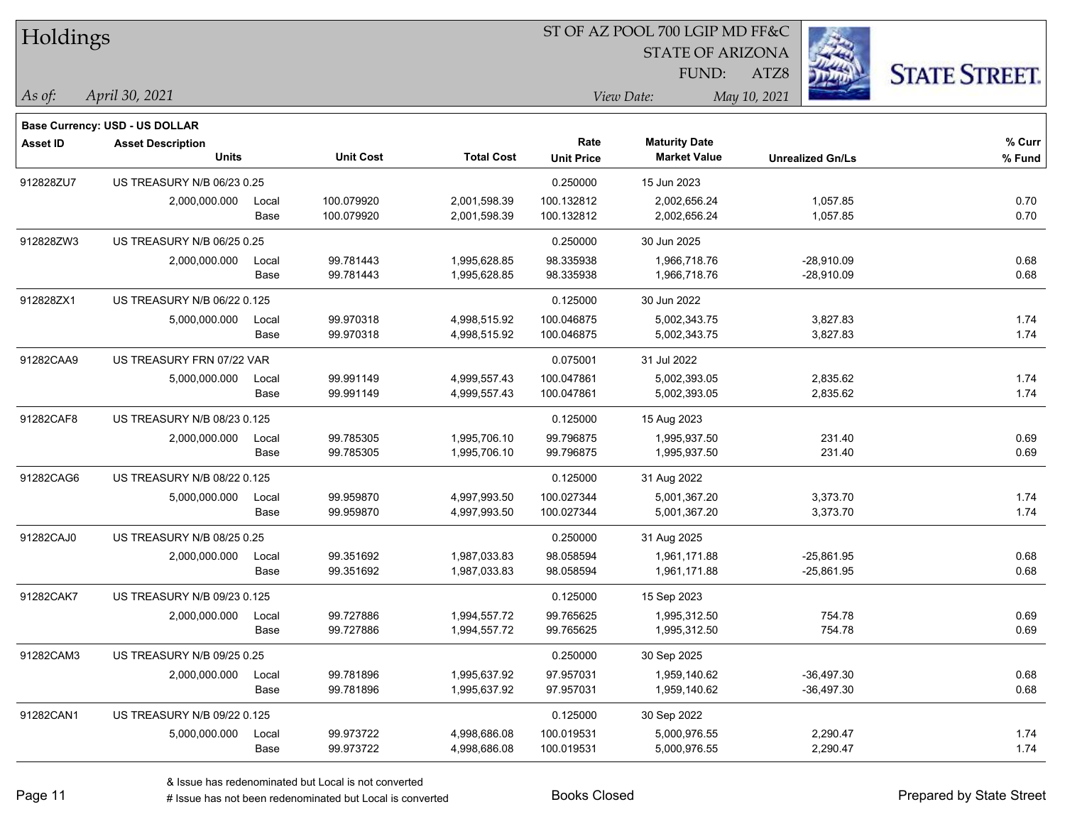| Holdings        |                                       |       |                  |                   | ST OF AZ POOL 700 LGIP MD FF&C |                         |                         |                      |  |  |
|-----------------|---------------------------------------|-------|------------------|-------------------|--------------------------------|-------------------------|-------------------------|----------------------|--|--|
|                 |                                       |       |                  |                   |                                | <b>STATE OF ARIZONA</b> |                         |                      |  |  |
|                 |                                       |       |                  |                   |                                | FUND:                   | ATZ8                    | <b>STATE STREET.</b> |  |  |
| As of:          | April 30, 2021                        |       |                  |                   |                                | View Date:              | May 10, 2021            |                      |  |  |
|                 | <b>Base Currency: USD - US DOLLAR</b> |       |                  |                   |                                |                         |                         |                      |  |  |
| <b>Asset ID</b> | <b>Asset Description</b>              |       |                  |                   | Rate                           | <b>Maturity Date</b>    |                         | % Curr               |  |  |
|                 | Units                                 |       | <b>Unit Cost</b> | <b>Total Cost</b> | <b>Unit Price</b>              | <b>Market Value</b>     | <b>Unrealized Gn/Ls</b> | % Fund               |  |  |
| 912828ZU7       | US TREASURY N/B 06/23 0.25            |       |                  |                   | 0.250000                       | 15 Jun 2023             |                         |                      |  |  |
|                 | 2,000,000.000                         | Local | 100.079920       | 2,001,598.39      | 100.132812                     | 2,002,656.24            | 1,057.85                | 0.70                 |  |  |
|                 |                                       | Base  | 100.079920       | 2,001,598.39      | 100.132812                     | 2,002,656.24            | 1,057.85                | 0.70                 |  |  |
| 912828ZW3       | US TREASURY N/B 06/25 0.25            |       |                  |                   | 0.250000                       | 30 Jun 2025             |                         |                      |  |  |
|                 | 2,000,000.000                         | Local | 99.781443        | 1,995,628.85      | 98.335938                      | 1,966,718.76            | $-28,910.09$            | 0.68                 |  |  |
|                 |                                       | Base  | 99.781443        | 1,995,628.85      | 98.335938                      | 1,966,718.76            | $-28,910.09$            | 0.68                 |  |  |
| 912828ZX1       | US TREASURY N/B 06/22 0.125           |       |                  |                   | 0.125000                       | 30 Jun 2022             |                         |                      |  |  |
|                 | 5,000,000.000                         | Local | 99.970318        | 4,998,515.92      | 100.046875                     | 5,002,343.75            | 3,827.83                | 1.74                 |  |  |
|                 |                                       | Base  | 99.970318        | 4,998,515.92      | 100.046875                     | 5,002,343.75            | 3,827.83                | 1.74                 |  |  |
| 91282CAA9       | US TREASURY FRN 07/22 VAR             |       |                  |                   | 0.075001                       | 31 Jul 2022             |                         |                      |  |  |
|                 | 5,000,000.000                         | Local | 99.991149        | 4,999,557.43      | 100.047861                     | 5,002,393.05            | 2,835.62                | 1.74                 |  |  |
|                 |                                       | Base  | 99.991149        | 4,999,557.43      | 100.047861                     | 5,002,393.05            | 2,835.62                | 1.74                 |  |  |
| 91282CAF8       | US TREASURY N/B 08/23 0.125           |       |                  |                   | 0.125000                       | 15 Aug 2023             |                         |                      |  |  |
|                 | 2,000,000.000                         | Local | 99.785305        | 1,995,706.10      | 99.796875                      | 1,995,937.50            | 231.40                  | 0.69                 |  |  |
|                 |                                       | Base  | 99.785305        | 1,995,706.10      | 99.796875                      | 1,995,937.50            | 231.40                  | 0.69                 |  |  |
| 91282CAG6       | US TREASURY N/B 08/22 0.125           |       |                  |                   | 0.125000                       | 31 Aug 2022             |                         |                      |  |  |
|                 | 5,000,000.000                         | Local | 99.959870        | 4,997,993.50      | 100.027344                     | 5,001,367.20            | 3,373.70                | 1.74                 |  |  |
|                 |                                       | Base  | 99.959870        | 4,997,993.50      | 100.027344                     | 5,001,367.20            | 3,373.70                | 1.74                 |  |  |
| 91282CAJ0       | US TREASURY N/B 08/25 0.25            |       |                  |                   | 0.250000                       | 31 Aug 2025             |                         |                      |  |  |
|                 | 2,000,000.000                         | Local | 99.351692        | 1,987,033.83      | 98.058594                      | 1,961,171.88            | $-25,861.95$            | 0.68                 |  |  |
|                 |                                       | Base  | 99.351692        | 1,987,033.83      | 98.058594                      | 1,961,171.88            | $-25,861.95$            | 0.68                 |  |  |
| 91282CAK7       | US TREASURY N/B 09/23 0.125           |       |                  |                   | 0.125000                       | 15 Sep 2023             |                         |                      |  |  |
|                 | 2,000,000.000                         | Local | 99.727886        | 1,994,557.72      | 99.765625                      | 1,995,312.50            | 754.78                  | 0.69                 |  |  |
|                 |                                       | Base  | 99.727886        | 1,994,557.72      | 99.765625                      | 1,995,312.50            | 754.78                  | 0.69                 |  |  |
| 91282CAM3       | US TREASURY N/B 09/25 0.25            |       |                  |                   | 0.250000                       | 30 Sep 2025             |                         |                      |  |  |
|                 | 2,000,000.000                         | Local | 99.781896        | 1,995,637.92      | 97.957031                      | 1,959,140.62            | $-36,497.30$            | 0.68                 |  |  |
|                 |                                       | Base  | 99.781896        | 1,995,637.92      | 97.957031                      | 1,959,140.62            | $-36,497.30$            | 0.68                 |  |  |
| 91282CAN1       | US TREASURY N/B 09/22 0.125           |       |                  |                   | 0.125000                       | 30 Sep 2022             |                         |                      |  |  |
|                 | 5,000,000.000                         | Local | 99.973722        | 4,998,686.08      | 100.019531                     | 5,000,976.55            | 2,290.47                | 1.74                 |  |  |
|                 |                                       | Base  | 99.973722        | 4,998,686.08      | 100.019531                     | 5,000,976.55            | 2,290.47                | 1.74                 |  |  |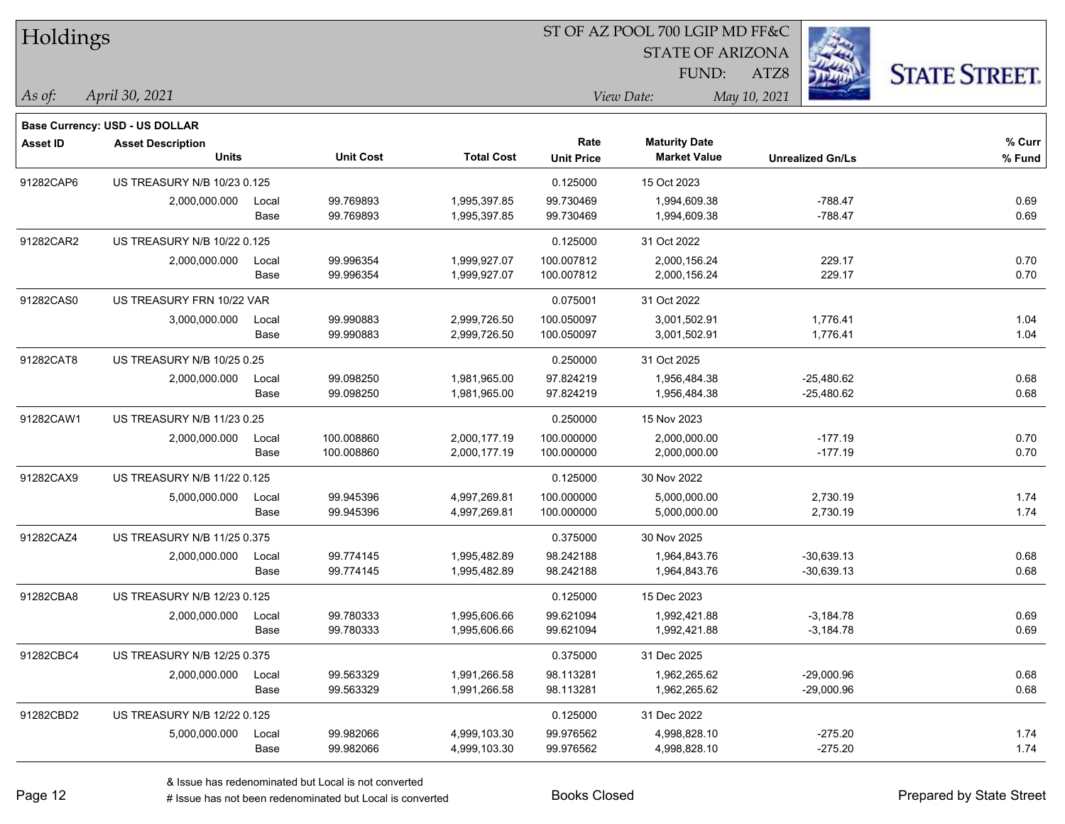| Holdings        |                                       |       |                  |                   | ST OF AZ POOL 700 LGIP MD FF&C |                         |                         |                      |  |  |
|-----------------|---------------------------------------|-------|------------------|-------------------|--------------------------------|-------------------------|-------------------------|----------------------|--|--|
|                 |                                       |       |                  |                   |                                | <b>STATE OF ARIZONA</b> |                         |                      |  |  |
|                 |                                       |       |                  |                   |                                | FUND:                   | ATZ8                    | <b>STATE STREET.</b> |  |  |
| $ As\;of:$      | April 30, 2021                        |       |                  |                   |                                | View Date:              | May 10, 2021            |                      |  |  |
|                 | <b>Base Currency: USD - US DOLLAR</b> |       |                  |                   |                                |                         |                         |                      |  |  |
| <b>Asset ID</b> | <b>Asset Description</b>              |       |                  |                   | Rate                           | <b>Maturity Date</b>    |                         | % Curr               |  |  |
|                 | <b>Units</b>                          |       | <b>Unit Cost</b> | <b>Total Cost</b> | <b>Unit Price</b>              | <b>Market Value</b>     | <b>Unrealized Gn/Ls</b> | % Fund               |  |  |
| 91282CAP6       | US TREASURY N/B 10/23 0.125           |       |                  |                   | 0.125000                       | 15 Oct 2023             |                         |                      |  |  |
|                 | 2,000,000.000                         | Local | 99.769893        | 1,995,397.85      | 99.730469                      | 1,994,609.38            | $-788.47$               | 0.69                 |  |  |
|                 |                                       | Base  | 99.769893        | 1,995,397.85      | 99.730469                      | 1,994,609.38            | $-788.47$               | 0.69                 |  |  |
| 91282CAR2       | US TREASURY N/B 10/22 0.125           |       |                  |                   | 0.125000                       | 31 Oct 2022             |                         |                      |  |  |
|                 | 2,000,000.000                         | Local | 99.996354        | 1,999,927.07      | 100.007812                     | 2,000,156.24            | 229.17                  | 0.70                 |  |  |
|                 |                                       | Base  | 99.996354        | 1,999,927.07      | 100.007812                     | 2,000,156.24            | 229.17                  | 0.70                 |  |  |
| 91282CAS0       | US TREASURY FRN 10/22 VAR             |       |                  |                   | 0.075001                       | 31 Oct 2022             |                         |                      |  |  |
|                 | 3,000,000.000                         | Local | 99.990883        | 2,999,726.50      | 100.050097                     | 3,001,502.91            | 1,776.41                | 1.04                 |  |  |
|                 |                                       | Base  | 99.990883        | 2,999,726.50      | 100.050097                     | 3,001,502.91            | 1,776.41                | 1.04                 |  |  |
| 91282CAT8       | US TREASURY N/B 10/25 0.25            |       |                  |                   | 0.250000                       | 31 Oct 2025             |                         |                      |  |  |
|                 | 2,000,000.000                         | Local | 99.098250        | 1,981,965.00      | 97.824219                      | 1,956,484.38            | $-25,480.62$            | 0.68                 |  |  |
|                 |                                       | Base  | 99.098250        | 1,981,965.00      | 97.824219                      | 1,956,484.38            | $-25,480.62$            | 0.68                 |  |  |
| 91282CAW1       | US TREASURY N/B 11/23 0.25            |       |                  |                   | 0.250000                       | 15 Nov 2023             |                         |                      |  |  |
|                 | 2,000,000.000                         | Local | 100.008860       | 2,000,177.19      | 100.000000                     | 2,000,000.00            | $-177.19$               | 0.70                 |  |  |
|                 |                                       | Base  | 100.008860       | 2,000,177.19      | 100.000000                     | 2,000,000.00            | $-177.19$               | 0.70                 |  |  |
| 91282CAX9       | US TREASURY N/B 11/22 0.125           |       |                  |                   | 0.125000                       | 30 Nov 2022             |                         |                      |  |  |
|                 | 5,000,000.000                         | Local | 99.945396        | 4,997,269.81      | 100.000000                     | 5,000,000.00            | 2,730.19                | 1.74                 |  |  |
|                 |                                       | Base  | 99.945396        | 4,997,269.81      | 100.000000                     | 5,000,000.00            | 2,730.19                | 1.74                 |  |  |
| 91282CAZ4       | US TREASURY N/B 11/25 0.375           |       |                  |                   | 0.375000                       | 30 Nov 2025             |                         |                      |  |  |
|                 | 2,000,000.000                         | Local | 99.774145        | 1,995,482.89      | 98.242188                      | 1,964,843.76            | $-30,639.13$            | 0.68                 |  |  |
|                 |                                       | Base  | 99.774145        | 1,995,482.89      | 98.242188                      | 1,964,843.76            | $-30,639.13$            | 0.68                 |  |  |
| 91282CBA8       | US TREASURY N/B 12/23 0.125           |       |                  |                   | 0.125000                       | 15 Dec 2023             |                         |                      |  |  |
|                 | 2,000,000.000                         | Local | 99.780333        | 1,995,606.66      | 99.621094                      | 1,992,421.88            | $-3,184.78$             | 0.69                 |  |  |
|                 |                                       | Base  | 99.780333        | 1,995,606.66      | 99.621094                      | 1,992,421.88            | $-3,184.78$             | 0.69                 |  |  |
| 91282CBC4       | US TREASURY N/B 12/25 0.375           |       |                  |                   | 0.375000                       | 31 Dec 2025             |                         |                      |  |  |
|                 | 2,000,000.000                         | Local | 99.563329        | 1,991,266.58      | 98.113281                      | 1,962,265.62            | $-29,000.96$            | 0.68                 |  |  |
|                 |                                       | Base  | 99.563329        | 1,991,266.58      | 98.113281                      | 1,962,265.62            | $-29,000.96$            | 0.68                 |  |  |
| 91282CBD2       | US TREASURY N/B 12/22 0.125           |       |                  |                   | 0.125000                       | 31 Dec 2022             |                         |                      |  |  |
|                 | 5,000,000.000                         | Local | 99.982066        | 4,999,103.30      | 99.976562                      | 4,998,828.10            | $-275.20$               | 1.74                 |  |  |
|                 |                                       | Base  | 99.982066        | 4,999,103.30      | 99.976562                      | 4,998,828.10            | $-275.20$               | 1.74                 |  |  |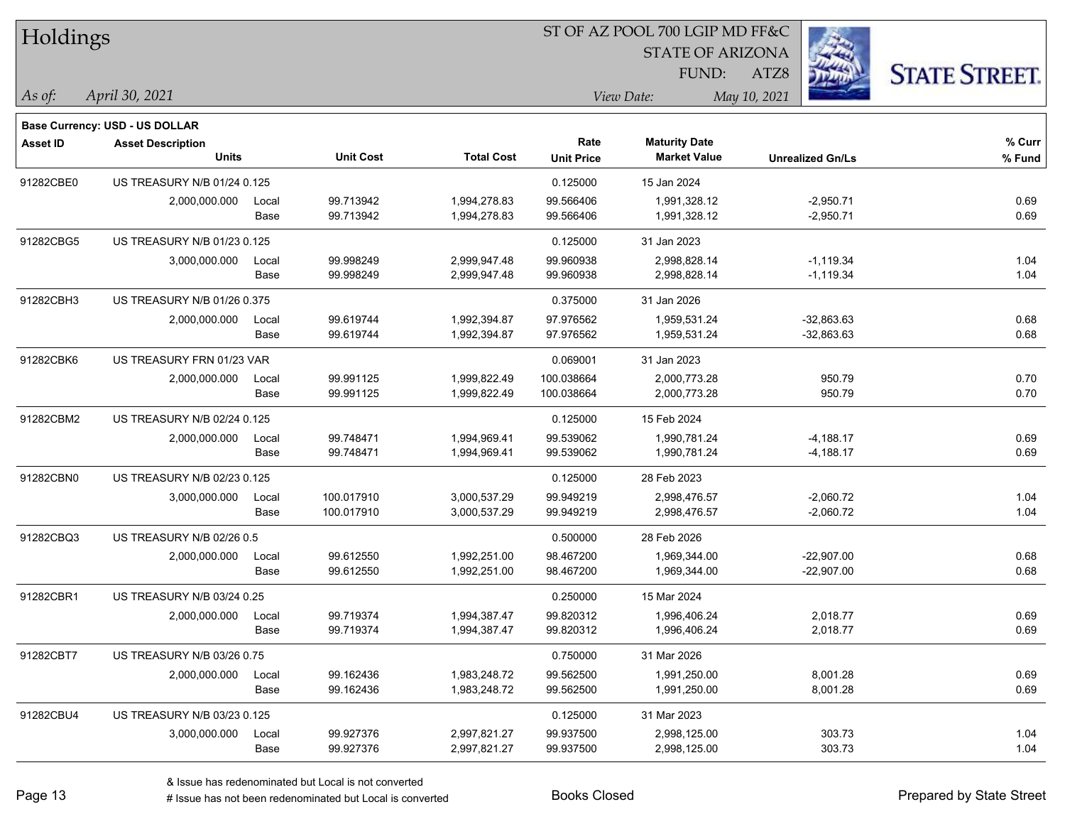| Holdings        |                                                                   |       |                  |                   | ST OF AZ POOL 700 LGIP MD FF&C |                         |                         |                      |  |  |
|-----------------|-------------------------------------------------------------------|-------|------------------|-------------------|--------------------------------|-------------------------|-------------------------|----------------------|--|--|
|                 |                                                                   |       |                  |                   |                                | <b>STATE OF ARIZONA</b> |                         |                      |  |  |
|                 |                                                                   |       |                  |                   |                                | FUND:                   | ATZ8                    | <b>STATE STREET.</b> |  |  |
| As of:          | April 30, 2021                                                    |       |                  |                   |                                | View Date:              | May 10, 2021            |                      |  |  |
|                 |                                                                   |       |                  |                   |                                |                         |                         |                      |  |  |
| <b>Asset ID</b> | <b>Base Currency: USD - US DOLLAR</b><br><b>Asset Description</b> |       |                  |                   | Rate                           | <b>Maturity Date</b>    |                         | % Curr               |  |  |
|                 | Units                                                             |       | <b>Unit Cost</b> | <b>Total Cost</b> | <b>Unit Price</b>              | <b>Market Value</b>     | <b>Unrealized Gn/Ls</b> | % Fund               |  |  |
| 91282CBE0       | US TREASURY N/B 01/24 0.125                                       |       |                  |                   | 0.125000                       | 15 Jan 2024             |                         |                      |  |  |
|                 | 2,000,000.000                                                     | Local | 99.713942        | 1,994,278.83      | 99.566406                      | 1,991,328.12            | $-2,950.71$             | 0.69                 |  |  |
|                 |                                                                   | Base  | 99.713942        | 1,994,278.83      | 99.566406                      | 1,991,328.12            | $-2,950.71$             | 0.69                 |  |  |
| 91282CBG5       | US TREASURY N/B 01/23 0.125                                       |       |                  |                   | 0.125000                       | 31 Jan 2023             |                         |                      |  |  |
|                 | 3,000,000.000                                                     | Local | 99.998249        | 2,999,947.48      | 99.960938                      | 2,998,828.14            | $-1,119.34$             | 1.04                 |  |  |
|                 |                                                                   | Base  | 99.998249        | 2,999,947.48      | 99.960938                      | 2,998,828.14            | $-1,119.34$             | 1.04                 |  |  |
| 91282CBH3       | US TREASURY N/B 01/26 0.375                                       |       |                  |                   | 0.375000                       | 31 Jan 2026             |                         |                      |  |  |
|                 | 2,000,000.000                                                     | Local | 99.619744        | 1,992,394.87      | 97.976562                      | 1,959,531.24            | $-32,863.63$            | 0.68                 |  |  |
|                 |                                                                   | Base  | 99.619744        | 1,992,394.87      | 97.976562                      | 1,959,531.24            | $-32,863.63$            | 0.68                 |  |  |
| 91282CBK6       | US TREASURY FRN 01/23 VAR                                         |       |                  |                   | 0.069001                       | 31 Jan 2023             |                         |                      |  |  |
|                 | 2,000,000.000                                                     | Local | 99.991125        | 1,999,822.49      | 100.038664                     | 2,000,773.28            | 950.79                  | 0.70                 |  |  |
|                 |                                                                   | Base  | 99.991125        | 1,999,822.49      | 100.038664                     | 2,000,773.28            | 950.79                  | 0.70                 |  |  |
| 91282CBM2       | US TREASURY N/B 02/24 0.125                                       |       |                  |                   | 0.125000                       | 15 Feb 2024             |                         |                      |  |  |
|                 | 2,000,000.000                                                     | Local | 99.748471        | 1,994,969.41      | 99.539062                      | 1,990,781.24            | $-4,188.17$             | 0.69                 |  |  |
|                 |                                                                   | Base  | 99.748471        | 1,994,969.41      | 99.539062                      | 1,990,781.24            | $-4,188.17$             | 0.69                 |  |  |
| 91282CBN0       | US TREASURY N/B 02/23 0.125                                       |       |                  |                   | 0.125000                       | 28 Feb 2023             |                         |                      |  |  |
|                 | 3,000,000.000                                                     | Local | 100.017910       | 3,000,537.29      | 99.949219                      | 2,998,476.57            | $-2,060.72$             | 1.04                 |  |  |
|                 |                                                                   | Base  | 100.017910       | 3,000,537.29      | 99.949219                      | 2,998,476.57            | $-2,060.72$             | 1.04                 |  |  |
| 91282CBQ3       | US TREASURY N/B 02/26 0.5                                         |       |                  |                   | 0.500000                       | 28 Feb 2026             |                         |                      |  |  |
|                 | 2,000,000.000                                                     | Local | 99.612550        | 1,992,251.00      | 98.467200                      | 1,969,344.00            | $-22,907.00$            | 0.68                 |  |  |
|                 |                                                                   | Base  | 99.612550        | 1,992,251.00      | 98.467200                      | 1,969,344.00            | $-22,907.00$            | 0.68                 |  |  |
| 91282CBR1       | US TREASURY N/B 03/24 0.25                                        |       |                  |                   | 0.250000                       | 15 Mar 2024             |                         |                      |  |  |
|                 | 2,000,000.000                                                     | Local | 99.719374        | 1,994,387.47      | 99.820312                      | 1,996,406.24            | 2,018.77                | 0.69                 |  |  |
|                 |                                                                   | Base  | 99.719374        | 1,994,387.47      | 99.820312                      | 1,996,406.24            | 2,018.77                | 0.69                 |  |  |
| 91282CBT7       | US TREASURY N/B 03/26 0.75                                        |       |                  |                   | 0.750000                       | 31 Mar 2026             |                         |                      |  |  |
|                 | 2,000,000.000                                                     | Local | 99.162436        | 1,983,248.72      | 99.562500                      | 1,991,250.00            | 8,001.28                | 0.69                 |  |  |
|                 |                                                                   | Base  | 99.162436        | 1,983,248.72      | 99.562500                      | 1,991,250.00            | 8,001.28                | 0.69                 |  |  |
| 91282CBU4       | US TREASURY N/B 03/23 0.125                                       |       |                  |                   | 0.125000                       | 31 Mar 2023             |                         |                      |  |  |
|                 | 3,000,000.000                                                     | Local | 99.927376        | 2,997,821.27      | 99.937500                      | 2,998,125.00            | 303.73                  | 1.04                 |  |  |
|                 |                                                                   | Base  | 99.927376        | 2,997,821.27      | 99.937500                      | 2,998,125.00            | 303.73                  | 1.04                 |  |  |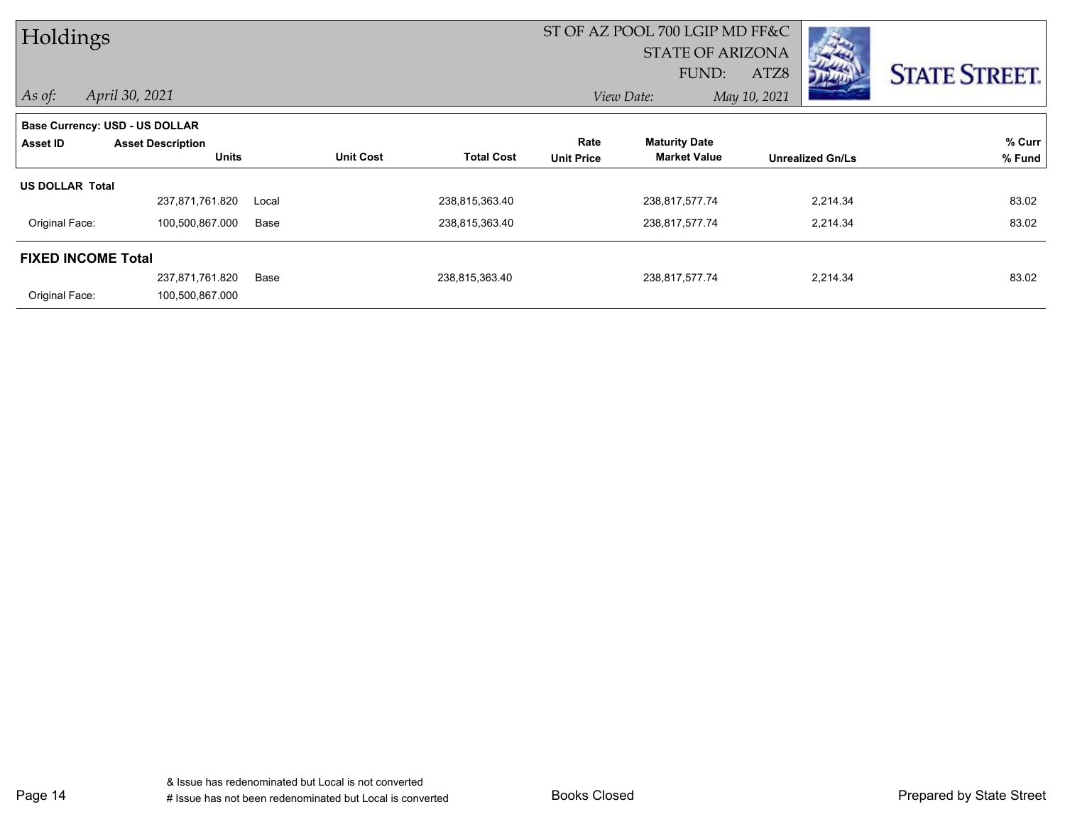| Holdings                  |                                |       |                  |                   |                   | ST OF AZ POOL 700 LGIP MD FF&C<br><b>STATE OF ARIZONA</b> |                         |                      |
|---------------------------|--------------------------------|-------|------------------|-------------------|-------------------|-----------------------------------------------------------|-------------------------|----------------------|
|                           |                                |       |                  |                   |                   | FUND:                                                     | ATZ8                    | <b>STATE STREET.</b> |
| $\vert$ As of:            | April 30, 2021                 |       |                  |                   |                   | View Date:                                                | May 10, 2021            |                      |
|                           | Base Currency: USD - US DOLLAR |       |                  |                   |                   |                                                           |                         |                      |
| Asset ID                  | <b>Asset Description</b>       |       | <b>Unit Cost</b> | <b>Total Cost</b> | Rate              | <b>Maturity Date</b><br><b>Market Value</b>               |                         | % Curr               |
|                           | <b>Units</b>                   |       |                  |                   | <b>Unit Price</b> |                                                           | <b>Unrealized Gn/Ls</b> | % Fund               |
| <b>US DOLLAR Total</b>    |                                |       |                  |                   |                   |                                                           |                         |                      |
|                           | 237,871,761.820                | Local |                  | 238,815,363.40    |                   | 238,817,577.74                                            | 2,214.34                | 83.02                |
| Original Face:            | 100,500,867.000                | Base  |                  | 238,815,363.40    |                   | 238,817,577.74                                            | 2,214.34                | 83.02                |
| <b>FIXED INCOME Total</b> |                                |       |                  |                   |                   |                                                           |                         |                      |
|                           | 237,871,761.820                | Base  |                  | 238,815,363.40    |                   | 238,817,577.74                                            | 2,214.34                | 83.02                |
| Original Face:            | 100,500,867.000                |       |                  |                   |                   |                                                           |                         |                      |

Page 14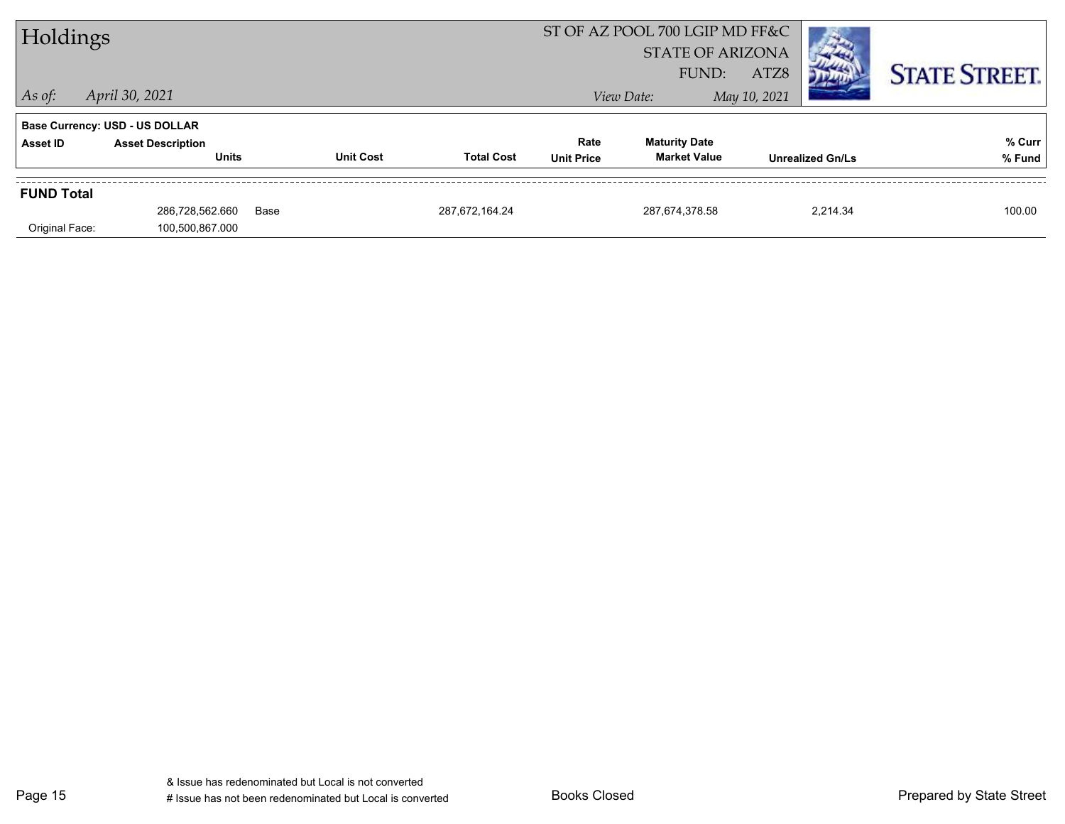| Holdings          |                                       |      |                  |                   |                   | ST OF AZ POOL 700 LGIP MD FF&C |              |                         |                      |
|-------------------|---------------------------------------|------|------------------|-------------------|-------------------|--------------------------------|--------------|-------------------------|----------------------|
|                   |                                       |      |                  |                   |                   | <b>STATE OF ARIZONA</b>        |              |                         |                      |
|                   |                                       |      |                  |                   |                   | FUND:                          | ATZ8         |                         | <b>STATE STREET.</b> |
| $\vert$ As of:    | April 30, 2021                        |      |                  |                   | View Date:        |                                | May 10, 2021 |                         |                      |
|                   | <b>Base Currency: USD - US DOLLAR</b> |      |                  |                   |                   |                                |              |                         |                      |
| Asset ID          | <b>Asset Description</b>              |      |                  |                   | Rate              | <b>Maturity Date</b>           |              |                         | % Curr               |
|                   | <b>Units</b>                          |      | <b>Unit Cost</b> | <b>Total Cost</b> | <b>Unit Price</b> | <b>Market Value</b>            |              | <b>Unrealized Gn/Ls</b> | % Fund               |
| <b>FUND Total</b> |                                       |      |                  |                   |                   |                                |              |                         |                      |
|                   | 286,728,562.660                       | Base |                  | 287.672.164.24    |                   | 287,674,378.58                 |              | 2.214.34                | 100.00               |
| Original Face:    | 100,500,867.000                       |      |                  |                   |                   |                                |              |                         |                      |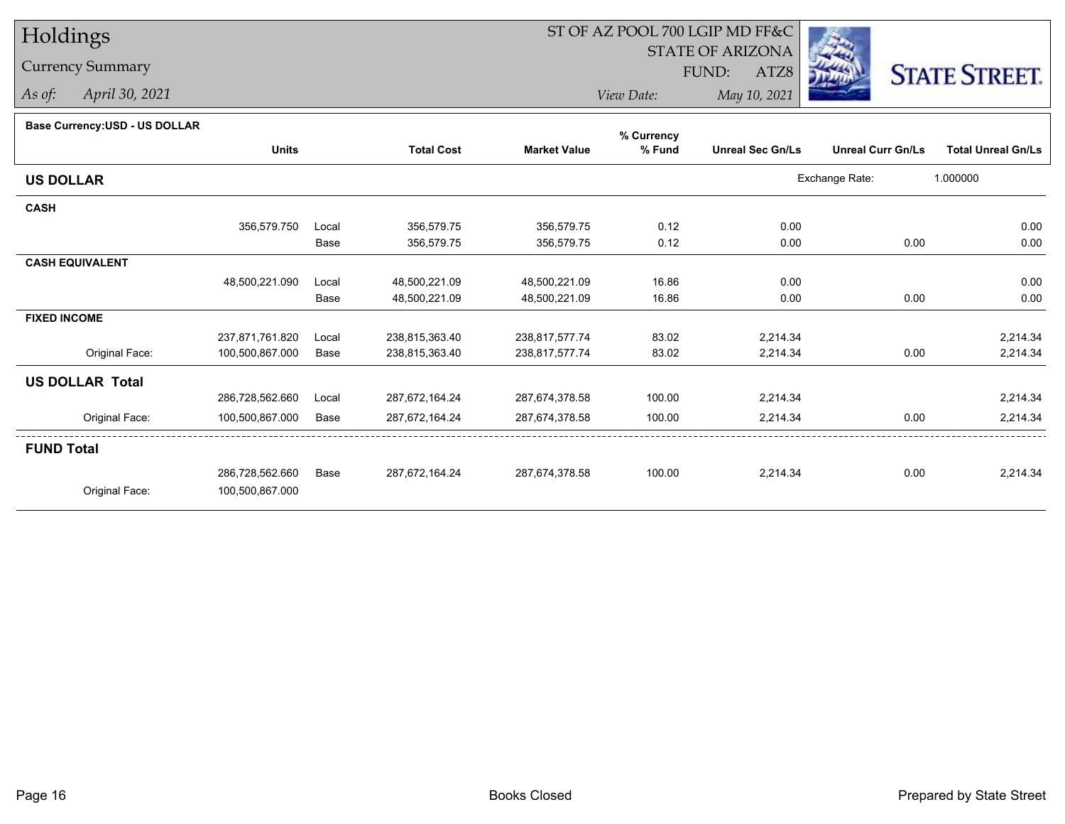# Holdings

Currency Summary

*As of: April 30, 2021*

## ST OF AZ POOL 700 LGIP MD FF&C

STATE OF ARIZONA

ATZ8



*View Date:May 10, 2021*

FUND:

**Base Currency:USD - US DOLLAR**

|                        |                 |       |                   |                     | % Currency |                         |                          |                           |
|------------------------|-----------------|-------|-------------------|---------------------|------------|-------------------------|--------------------------|---------------------------|
|                        | <b>Units</b>    |       | <b>Total Cost</b> | <b>Market Value</b> | % Fund     | <b>Unreal Sec Gn/Ls</b> | <b>Unreal Curr Gn/Ls</b> | <b>Total Unreal Gn/Ls</b> |
| <b>US DOLLAR</b>       |                 |       |                   |                     |            |                         | Exchange Rate:           | 1.000000                  |
| <b>CASH</b>            |                 |       |                   |                     |            |                         |                          |                           |
|                        | 356,579.750     | Local | 356,579.75        | 356,579.75          | 0.12       | 0.00                    |                          | 0.00                      |
|                        |                 | Base  | 356,579.75        | 356,579.75          | 0.12       | 0.00                    | 0.00                     | 0.00                      |
| <b>CASH EQUIVALENT</b> |                 |       |                   |                     |            |                         |                          |                           |
|                        | 48,500,221.090  | Local | 48,500,221.09     | 48,500,221.09       | 16.86      | 0.00                    |                          | 0.00                      |
|                        |                 | Base  | 48,500,221.09     | 48,500,221.09       | 16.86      | 0.00                    | 0.00                     | 0.00                      |
| <b>FIXED INCOME</b>    |                 |       |                   |                     |            |                         |                          |                           |
|                        | 237,871,761.820 | Local | 238,815,363.40    | 238,817,577.74      | 83.02      | 2,214.34                |                          | 2,214.34                  |
| Original Face:         | 100,500,867.000 | Base  | 238,815,363.40    | 238,817,577.74      | 83.02      | 2,214.34                | 0.00                     | 2,214.34                  |
| <b>US DOLLAR Total</b> |                 |       |                   |                     |            |                         |                          |                           |
|                        | 286,728,562.660 | Local | 287,672,164.24    | 287,674,378.58      | 100.00     | 2,214.34                |                          | 2,214.34                  |
| Original Face:         | 100,500,867.000 | Base  | 287,672,164.24    | 287,674,378.58      | 100.00     | 2,214.34                | 0.00                     | 2,214.34                  |
| <b>FUND Total</b>      |                 |       |                   |                     |            |                         |                          |                           |
|                        | 286,728,562.660 | Base  | 287,672,164.24    | 287,674,378.58      | 100.00     | 2,214.34                | 0.00                     | 2,214.34                  |
| Original Face:         | 100,500,867.000 |       |                   |                     |            |                         |                          |                           |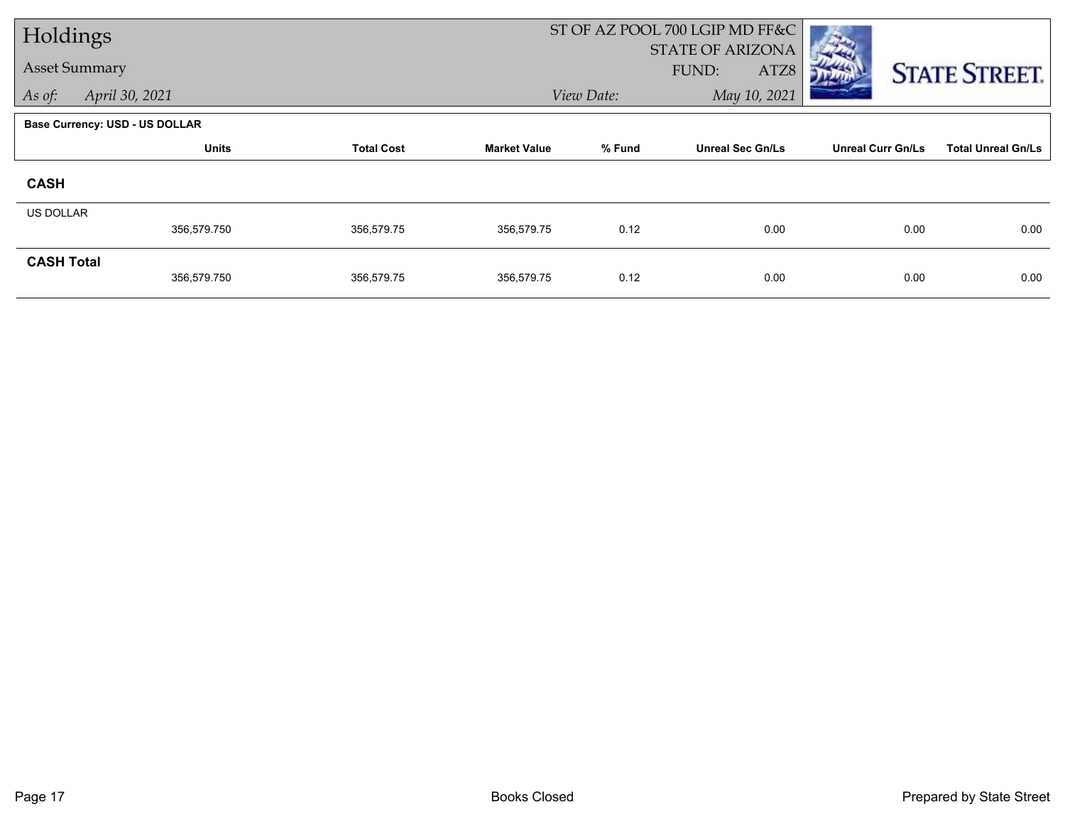| Holdings             |                                       |                   |                     | ST OF AZ POOL 700 LGIP MD FF&C |                                          |                          |                           |
|----------------------|---------------------------------------|-------------------|---------------------|--------------------------------|------------------------------------------|--------------------------|---------------------------|
| <b>Asset Summary</b> |                                       |                   |                     |                                | <b>STATE OF ARIZONA</b><br>FUND:<br>ATZ8 |                          |                           |
| As of:               | April 30, 2021                        |                   |                     | View Date:                     | May 10, 2021                             |                          | <b>STATE STREET.</b>      |
|                      | <b>Base Currency: USD - US DOLLAR</b> |                   |                     |                                |                                          |                          |                           |
|                      | <b>Units</b>                          | <b>Total Cost</b> | <b>Market Value</b> | % Fund                         | <b>Unreal Sec Gn/Ls</b>                  | <b>Unreal Curr Gn/Ls</b> | <b>Total Unreal Gn/Ls</b> |
|                      |                                       |                   |                     |                                |                                          |                          |                           |
| <b>CASH</b>          |                                       |                   |                     |                                |                                          |                          |                           |
| <b>US DOLLAR</b>     |                                       |                   |                     |                                |                                          |                          |                           |
|                      | 356,579.750                           | 356,579.75        | 356,579.75          | 0.12                           | 0.00                                     | 0.00                     | 0.00                      |
| <b>CASH Total</b>    |                                       |                   |                     |                                |                                          |                          |                           |
|                      | 356,579.750                           | 356,579.75        | 356,579.75          | 0.12                           | 0.00                                     | 0.00                     | 0.00                      |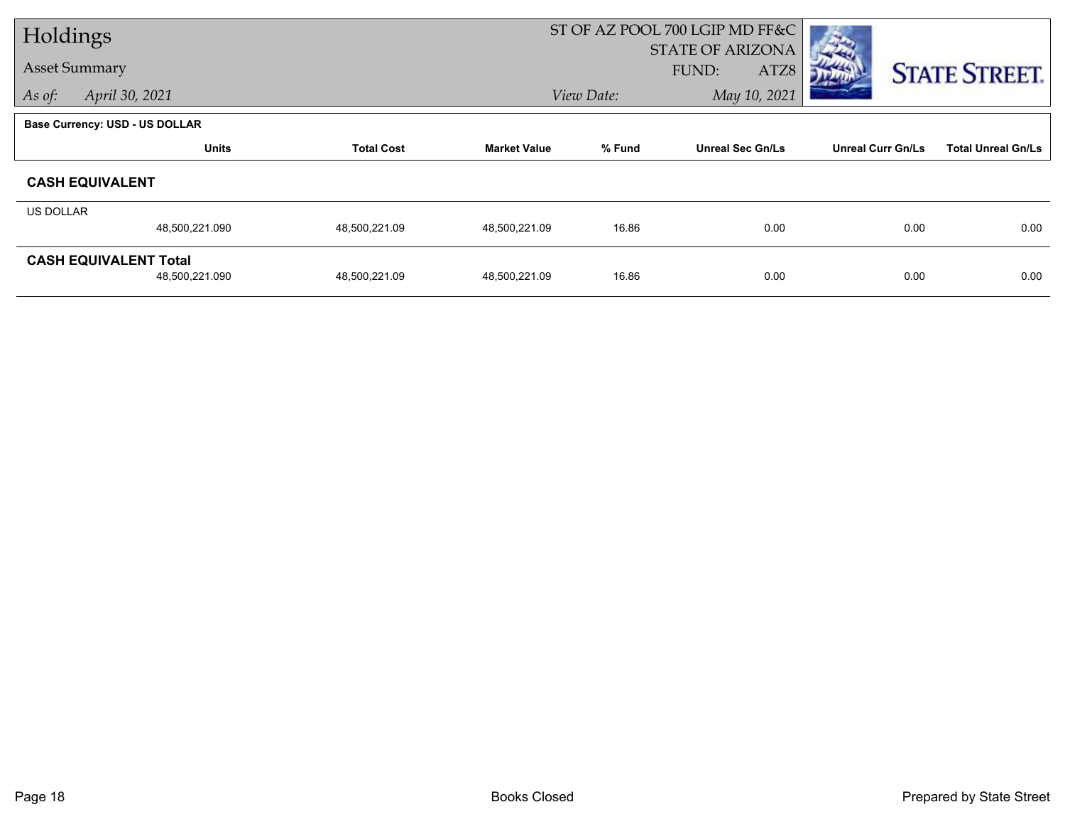| Holdings             |                                |                   |                     | ST OF AZ POOL 700 LGIP MD FF&C |                         |                          |                           |  |
|----------------------|--------------------------------|-------------------|---------------------|--------------------------------|-------------------------|--------------------------|---------------------------|--|
|                      |                                |                   |                     |                                | <b>STATE OF ARIZONA</b> |                          |                           |  |
| <b>Asset Summary</b> |                                |                   |                     |                                | FUND:<br>ATZ8           |                          | <b>STATE STREET.</b>      |  |
| As of:               | April 30, 2021                 |                   |                     | May 10, 2021<br>View Date:     |                         |                          |                           |  |
|                      | Base Currency: USD - US DOLLAR |                   |                     |                                |                         |                          |                           |  |
|                      | <b>Units</b>                   | <b>Total Cost</b> | <b>Market Value</b> | % Fund                         | <b>Unreal Sec Gn/Ls</b> | <b>Unreal Curr Gn/Ls</b> | <b>Total Unreal Gn/Ls</b> |  |
|                      | <b>CASH EQUIVALENT</b>         |                   |                     |                                |                         |                          |                           |  |
| US DOLLAR            |                                |                   |                     |                                |                         |                          |                           |  |
|                      | 48,500,221.090                 | 48,500,221.09     | 48,500,221.09       | 16.86                          | 0.00                    | 0.00                     | 0.00                      |  |
|                      | <b>CASH EQUIVALENT Total</b>   |                   |                     |                                |                         |                          |                           |  |
|                      | 48,500,221.090                 | 48,500,221.09     | 48,500,221.09       | 16.86                          | 0.00                    | 0.00                     | 0.00                      |  |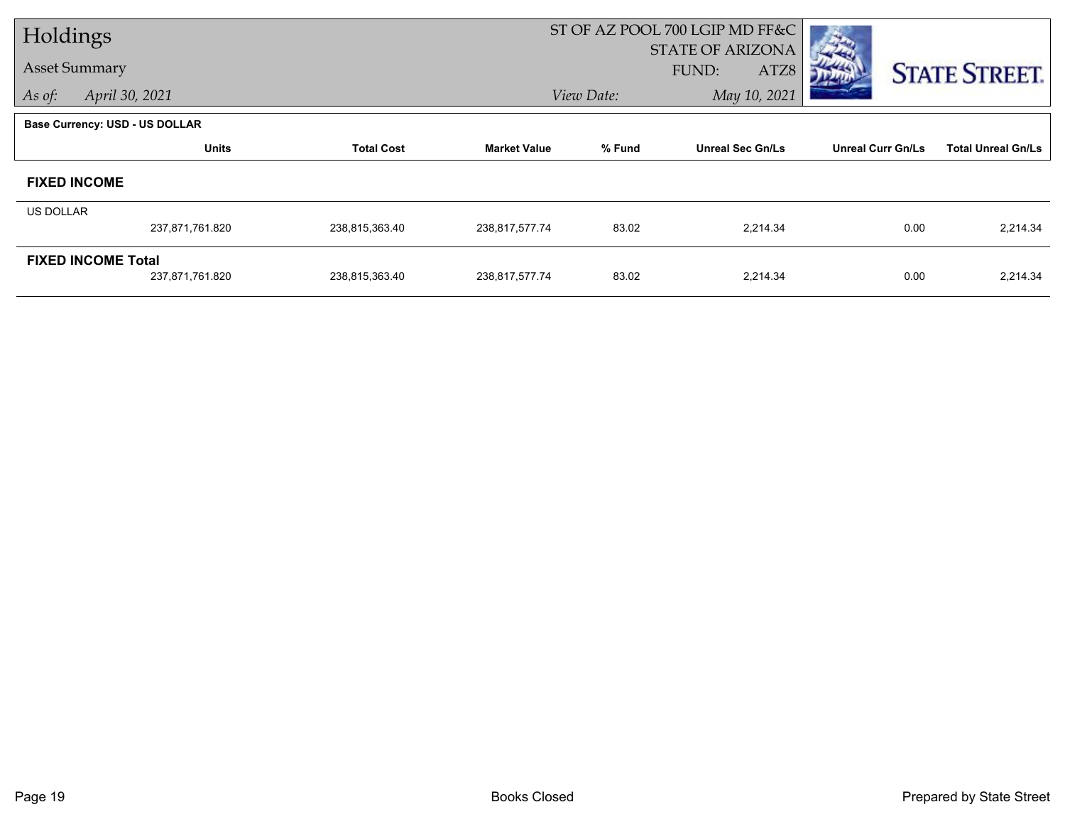| Holdings             |                                       |                   |                     | ST OF AZ POOL 700 LGIP MD FF&C |                                          |                          |                           |
|----------------------|---------------------------------------|-------------------|---------------------|--------------------------------|------------------------------------------|--------------------------|---------------------------|
| <b>Asset Summary</b> |                                       |                   |                     |                                | <b>STATE OF ARIZONA</b><br>FUND:<br>ATZ8 |                          |                           |
|                      |                                       |                   |                     |                                | May 10, 2021                             |                          | <b>STATE STREET.</b>      |
| As of:               | April 30, 2021                        |                   |                     | View Date:                     |                                          |                          |                           |
|                      | <b>Base Currency: USD - US DOLLAR</b> |                   |                     |                                |                                          |                          |                           |
|                      | <b>Units</b>                          | <b>Total Cost</b> | <b>Market Value</b> | % Fund                         | <b>Unreal Sec Gn/Ls</b>                  | <b>Unreal Curr Gn/Ls</b> | <b>Total Unreal Gn/Ls</b> |
|                      | <b>FIXED INCOME</b>                   |                   |                     |                                |                                          |                          |                           |
| US DOLLAR            |                                       |                   |                     |                                |                                          |                          |                           |
|                      | 237,871,761.820                       | 238,815,363.40    | 238,817,577.74      | 83.02                          | 2,214.34                                 | 0.00                     | 2,214.34                  |
|                      | <b>FIXED INCOME Total</b>             |                   |                     |                                |                                          |                          |                           |
|                      | 237,871,761.820                       | 238,815,363.40    | 238,817,577.74      | 83.02                          | 2,214.34                                 | 0.00                     | 2,214.34                  |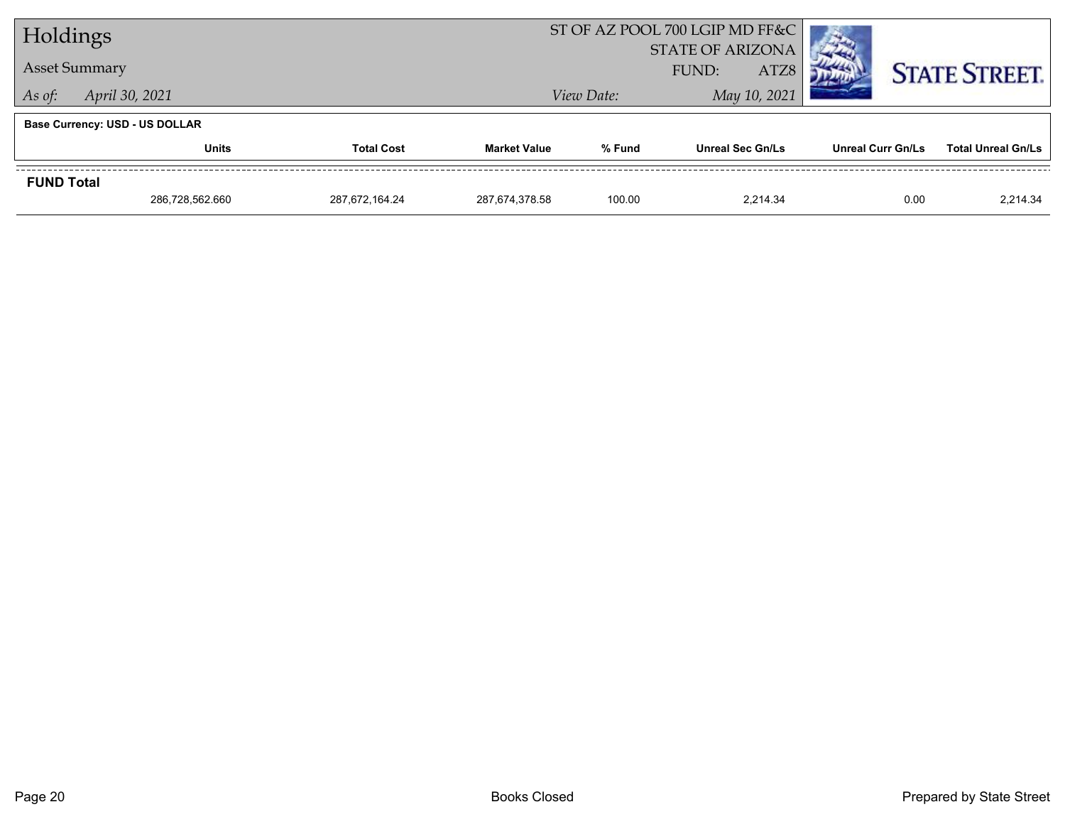| Holdings          |                                       |                   |                     | ST OF AZ POOL 700 LGIP MD FF&C  |                         |                   |                           |
|-------------------|---------------------------------------|-------------------|---------------------|---------------------------------|-------------------------|-------------------|---------------------------|
|                   |                                       |                   |                     | <b>STATE OF ARIZONA</b><br>ATZ8 |                         |                   |                           |
|                   | <b>Asset Summary</b>                  |                   |                     | FUND:                           |                         |                   | <b>STATE STREET.</b>      |
| As of:            | April 30, 2021                        |                   |                     | View Date:                      |                         |                   |                           |
|                   | <b>Base Currency: USD - US DOLLAR</b> |                   |                     |                                 |                         |                   |                           |
|                   | <b>Units</b>                          | <b>Total Cost</b> | <b>Market Value</b> | % Fund                          | <b>Unreal Sec Gn/Ls</b> | Unreal Curr Gn/Ls | <b>Total Unreal Gn/Ls</b> |
| <b>FUND Total</b> |                                       |                   |                     |                                 |                         |                   |                           |
|                   | 286,728,562.660                       | 287.672.164.24    | 287,674,378.58      | 100.00                          | 2.214.34                | 0.00              | 2,214.34                  |